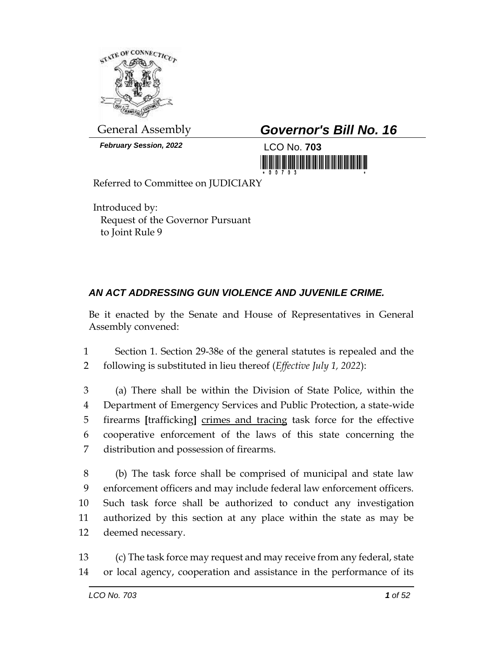

*February Session, 2022* LCO No. **703**

# General Assembly *Governor's Bill No. 16*



Referred to Committee on JUDICIARY

Introduced by: Request of the Governor Pursuant to Joint Rule 9

## *AN ACT ADDRESSING GUN VIOLENCE AND JUVENILE CRIME.*

Be it enacted by the Senate and House of Representatives in General Assembly convened:

1 Section 1. Section 29-38e of the general statutes is repealed and the 2 following is substituted in lieu thereof (*Effective July 1, 2022*):

 (a) There shall be within the Division of State Police, within the Department of Emergency Services and Public Protection, a state-wide firearms **[**trafficking**]** crimes and tracing task force for the effective cooperative enforcement of the laws of this state concerning the distribution and possession of firearms.

 (b) The task force shall be comprised of municipal and state law enforcement officers and may include federal law enforcement officers. Such task force shall be authorized to conduct any investigation authorized by this section at any place within the state as may be deemed necessary.

13 (c) The task force may request and may receive from any federal, state 14 or local agency, cooperation and assistance in the performance of its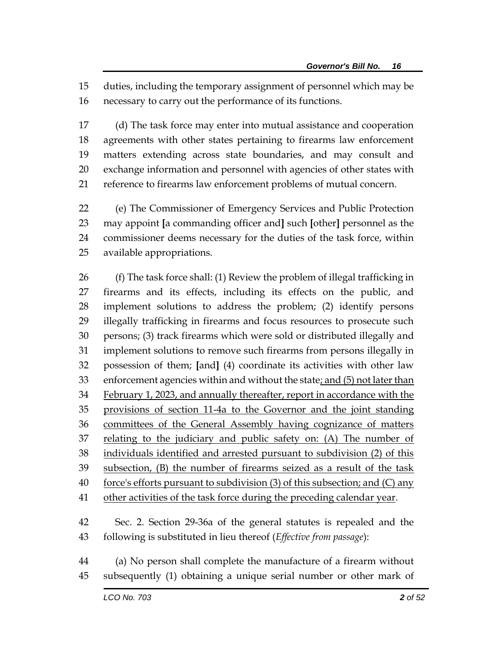duties, including the temporary assignment of personnel which may be necessary to carry out the performance of its functions.

 (d) The task force may enter into mutual assistance and cooperation agreements with other states pertaining to firearms law enforcement matters extending across state boundaries, and may consult and exchange information and personnel with agencies of other states with reference to firearms law enforcement problems of mutual concern.

 (e) The Commissioner of Emergency Services and Public Protection may appoint **[**a commanding officer and**]** such **[**other**]** personnel as the commissioner deems necessary for the duties of the task force, within available appropriations.

 (f) The task force shall: (1) Review the problem of illegal trafficking in firearms and its effects, including its effects on the public, and implement solutions to address the problem; (2) identify persons illegally trafficking in firearms and focus resources to prosecute such persons; (3) track firearms which were sold or distributed illegally and implement solutions to remove such firearms from persons illegally in possession of them; **[**and**]** (4) coordinate its activities with other law 33 enforcement agencies within and without the state; and (5) not later than February 1, 2023, and annually thereafter, report in accordance with the provisions of section 11-4a to the Governor and the joint standing committees of the General Assembly having cognizance of matters relating to the judiciary and public safety on: (A) The number of individuals identified and arrested pursuant to subdivision (2) of this subsection, (B) the number of firearms seized as a result of the task force's efforts pursuant to subdivision (3) of this subsection; and (C) any 41 other activities of the task force during the preceding calendar year. Sec. 2. Section 29-36a of the general statutes is repealed and the following is substituted in lieu thereof (*Effective from passage*):

 (a) No person shall complete the manufacture of a firearm without subsequently (1) obtaining a unique serial number or other mark of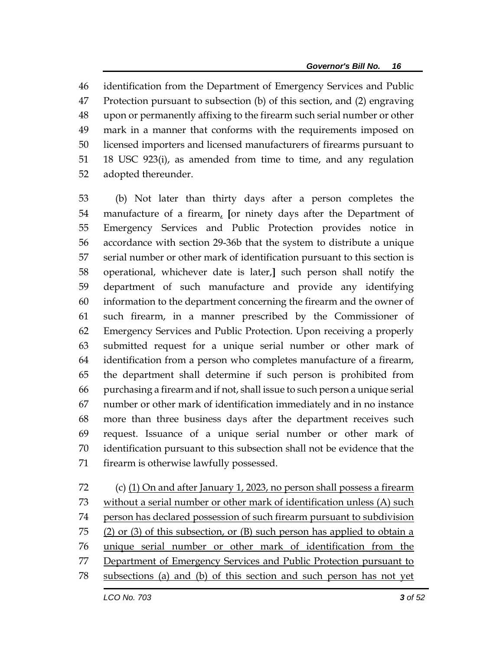identification from the Department of Emergency Services and Public Protection pursuant to subsection (b) of this section, and (2) engraving upon or permanently affixing to the firearm such serial number or other mark in a manner that conforms with the requirements imposed on licensed importers and licensed manufacturers of firearms pursuant to 18 USC 923(i), as amended from time to time, and any regulation adopted thereunder.

 (b) Not later than thirty days after a person completes the manufacture of a firearm, **[**or ninety days after the Department of Emergency Services and Public Protection provides notice in accordance with section 29-36b that the system to distribute a unique serial number or other mark of identification pursuant to this section is operational, whichever date is later,**]** such person shall notify the department of such manufacture and provide any identifying information to the department concerning the firearm and the owner of such firearm, in a manner prescribed by the Commissioner of Emergency Services and Public Protection. Upon receiving a properly submitted request for a unique serial number or other mark of identification from a person who completes manufacture of a firearm, the department shall determine if such person is prohibited from purchasing a firearm and if not, shall issue to such person a unique serial number or other mark of identification immediately and in no instance more than three business days after the department receives such request. Issuance of a unique serial number or other mark of identification pursuant to this subsection shall not be evidence that the firearm is otherwise lawfully possessed.

 (c) (1) On and after January 1, 2023, no person shall possess a firearm without a serial number or other mark of identification unless (A) such person has declared possession of such firearm pursuant to subdivision 75 (2) or (3) of this subsection, or (B) such person has applied to obtain a unique serial number or other mark of identification from the 77 Department of Emergency Services and Public Protection pursuant to subsections (a) and (b) of this section and such person has not yet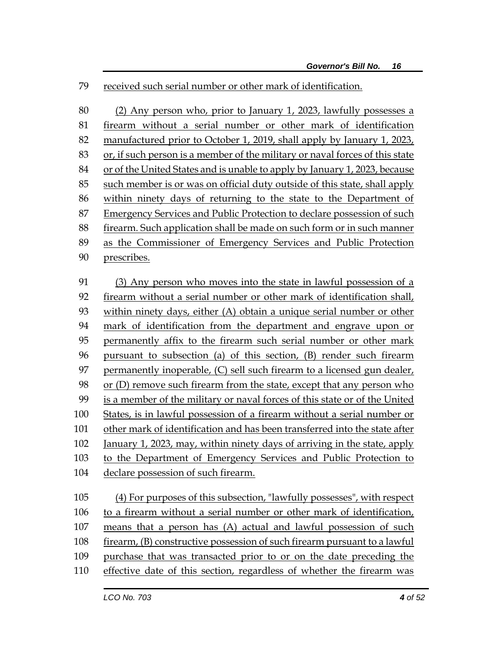#### received such serial number or other mark of identification.

 (2) Any person who, prior to January 1, 2023, lawfully possesses a firearm without a serial number or other mark of identification manufactured prior to October 1, 2019, shall apply by January 1, 2023, or, if such person is a member of the military or naval forces of this state or of the United States and is unable to apply by January 1, 2023, because such member is or was on official duty outside of this state, shall apply within ninety days of returning to the state to the Department of Emergency Services and Public Protection to declare possession of such firearm. Such application shall be made on such form or in such manner as the Commissioner of Emergency Services and Public Protection prescribes. (3) Any person who moves into the state in lawful possession of a firearm without a serial number or other mark of identification shall, within ninety days, either (A) obtain a unique serial number or other mark of identification from the department and engrave upon or permanently affix to the firearm such serial number or other mark pursuant to subsection (a) of this section, (B) render such firearm permanently inoperable, (C) sell such firearm to a licensed gun dealer, 98 or (D) remove such firearm from the state, except that any person who is a member of the military or naval forces of this state or of the United States, is in lawful possession of a firearm without a serial number or other mark of identification and has been transferred into the state after January 1, 2023, may, within ninety days of arriving in the state, apply to the Department of Emergency Services and Public Protection to

declare possession of such firearm.

 (4) For purposes of this subsection, "lawfully possesses", with respect 106 to a firearm without a serial number or other mark of identification, means that a person has (A) actual and lawful possession of such firearm, (B) constructive possession of such firearm pursuant to a lawful purchase that was transacted prior to or on the date preceding the effective date of this section, regardless of whether the firearm was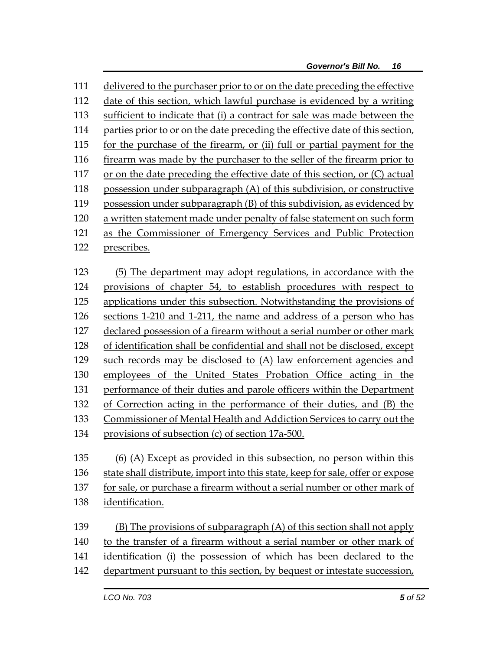delivered to the purchaser prior to or on the date preceding the effective date of this section, which lawful purchase is evidenced by a writing sufficient to indicate that (i) a contract for sale was made between the 114 parties prior to or on the date preceding the effective date of this section, for the purchase of the firearm, or (ii) full or partial payment for the firearm was made by the purchaser to the seller of the firearm prior to 117 or on the date preceding the effective date of this section, or (C) actual possession under subparagraph (A) of this subdivision, or constructive possession under subparagraph (B) of this subdivision, as evidenced by a written statement made under penalty of false statement on such form as the Commissioner of Emergency Services and Public Protection prescribes. (5) The department may adopt regulations, in accordance with the provisions of chapter 54, to establish procedures with respect to applications under this subsection. Notwithstanding the provisions of sections 1-210 and 1-211, the name and address of a person who has declared possession of a firearm without a serial number or other mark of identification shall be confidential and shall not be disclosed, except such records may be disclosed to (A) law enforcement agencies and employees of the United States Probation Office acting in the performance of their duties and parole officers within the Department of Correction acting in the performance of their duties, and (B) the Commissioner of Mental Health and Addiction Services to carry out the provisions of subsection (c) of section 17a-500. (6) (A) Except as provided in this subsection, no person within this

 state shall distribute, import into this state, keep for sale, offer or expose for sale, or purchase a firearm without a serial number or other mark of

- identification.
- (B) The provisions of subparagraph (A) of this section shall not apply
- to the transfer of a firearm without a serial number or other mark of
- identification (i) the possession of which has been declared to the
- department pursuant to this section, by bequest or intestate succession,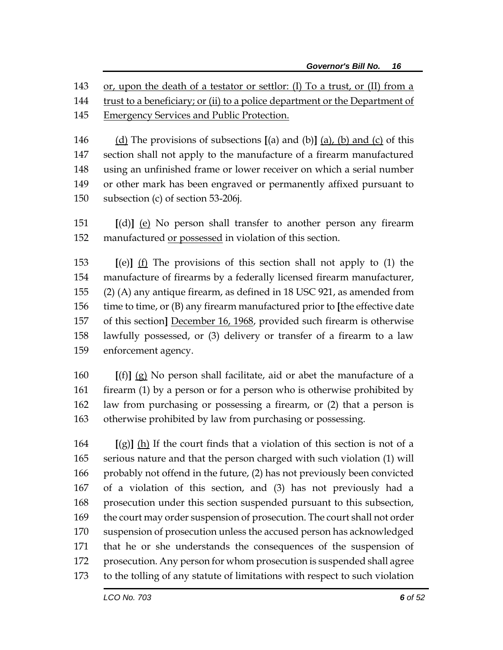or, upon the death of a testator or settlor: (I) To a trust, or (II) from a

- trust to a beneficiary; or (ii) to a police department or the Department of
- Emergency Services and Public Protection.
- (d) The provisions of subsections **[**(a) and (b)**]** (a), (b) and (c) of this section shall not apply to the manufacture of a firearm manufactured using an unfinished frame or lower receiver on which a serial number or other mark has been engraved or permanently affixed pursuant to subsection (c) of section 53-206j.
- **[**(d)**]** (e) No person shall transfer to another person any firearm manufactured or possessed in violation of this section.

 **[**(e)**]** (f) The provisions of this section shall not apply to (1) the manufacture of firearms by a federally licensed firearm manufacturer, (2) (A) any antique firearm, as defined in 18 USC 921, as amended from time to time, or (B) any firearm manufactured prior to **[**the effective date of this section**]** December 16, 1968, provided such firearm is otherwise lawfully possessed, or (3) delivery or transfer of a firearm to a law enforcement agency.

 **[**(f)**]** (g) No person shall facilitate, aid or abet the manufacture of a 161 firearm (1) by a person or for a person who is otherwise prohibited by law from purchasing or possessing a firearm, or (2) that a person is otherwise prohibited by law from purchasing or possessing.

 **[**(g)**]** (h) If the court finds that a violation of this section is not of a serious nature and that the person charged with such violation (1) will probably not offend in the future, (2) has not previously been convicted of a violation of this section, and (3) has not previously had a prosecution under this section suspended pursuant to this subsection, the court may order suspension of prosecution. The court shall not order suspension of prosecution unless the accused person has acknowledged that he or she understands the consequences of the suspension of prosecution. Any person for whom prosecution is suspended shall agree to the tolling of any statute of limitations with respect to such violation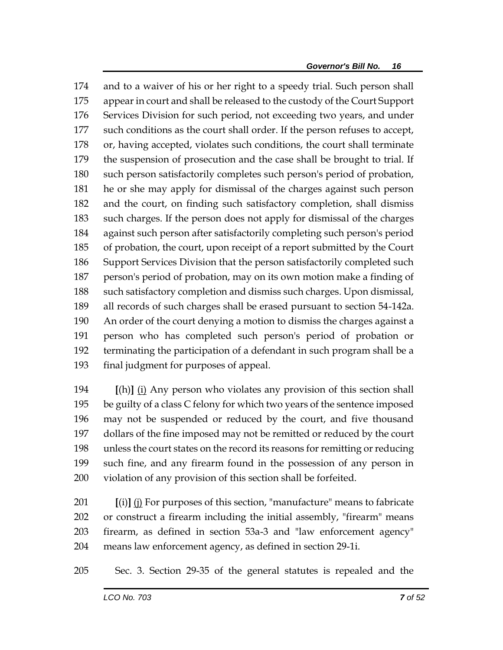and to a waiver of his or her right to a speedy trial. Such person shall appear in court and shall be released to the custody of the Court Support Services Division for such period, not exceeding two years, and under such conditions as the court shall order. If the person refuses to accept, or, having accepted, violates such conditions, the court shall terminate the suspension of prosecution and the case shall be brought to trial. If such person satisfactorily completes such person's period of probation, he or she may apply for dismissal of the charges against such person and the court, on finding such satisfactory completion, shall dismiss such charges. If the person does not apply for dismissal of the charges against such person after satisfactorily completing such person's period of probation, the court, upon receipt of a report submitted by the Court Support Services Division that the person satisfactorily completed such person's period of probation, may on its own motion make a finding of such satisfactory completion and dismiss such charges. Upon dismissal, all records of such charges shall be erased pursuant to section 54-142a. An order of the court denying a motion to dismiss the charges against a person who has completed such person's period of probation or terminating the participation of a defendant in such program shall be a final judgment for purposes of appeal.

 **[**(h)**]** (i) Any person who violates any provision of this section shall be guilty of a class C felony for which two years of the sentence imposed may not be suspended or reduced by the court, and five thousand dollars of the fine imposed may not be remitted or reduced by the court unless the court states on the record its reasons for remitting or reducing such fine, and any firearm found in the possession of any person in violation of any provision of this section shall be forfeited.

 **[**(i)**]** (j) For purposes of this section, "manufacture" means to fabricate or construct a firearm including the initial assembly, "firearm" means firearm, as defined in section 53a-3 and "law enforcement agency" means law enforcement agency, as defined in section 29-1i.

Sec. 3. Section 29-35 of the general statutes is repealed and the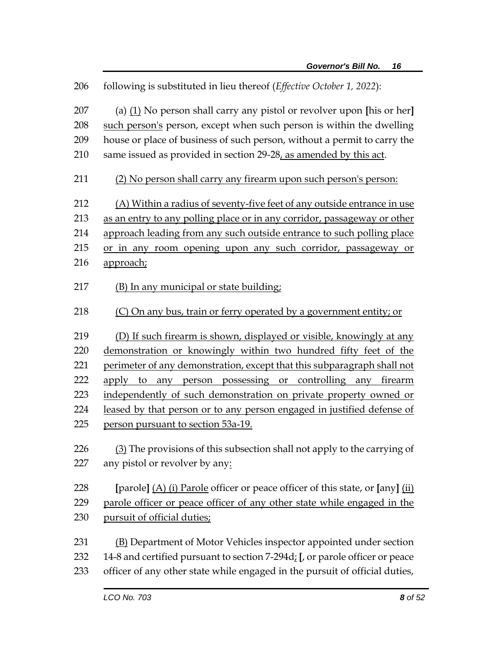following is substituted in lieu thereof (*Effective October 1, 2022*): (a) (1) No person shall carry any pistol or revolver upon **[**his or her**]** such person's person, except when such person is within the dwelling house or place of business of such person, without a permit to carry the 210 same issued as provided in section 29-28, as amended by this act. (2) No person shall carry any firearm upon such person's person: (A) Within a radius of seventy-five feet of any outside entrance in use as an entry to any polling place or in any corridor, passageway or other approach leading from any such outside entrance to such polling place or in any room opening upon any such corridor, passageway or approach; 217 (B) In any municipal or state building; (C) On any bus, train or ferry operated by a government entity; or (D) If such firearm is shown, displayed or visible, knowingly at any demonstration or knowingly within two hundred fifty feet of the perimeter of any demonstration, except that this subparagraph shall not apply to any person possessing or controlling any firearm independently of such demonstration on private property owned or 224 leased by that person or to any person engaged in justified defense of person pursuant to section 53a-19. (3) The provisions of this subsection shall not apply to the carrying of any pistol or revolver by any: **[**parole**]** (A) (i) Parole officer or peace officer of this state, or **[**any**]** (ii) parole officer or peace officer of any other state while engaged in the pursuit of official duties; (B) Department of Motor Vehicles inspector appointed under section 14-8 and certified pursuant to section 7-294d; **[**, or parole officer or peace officer of any other state while engaged in the pursuit of official duties,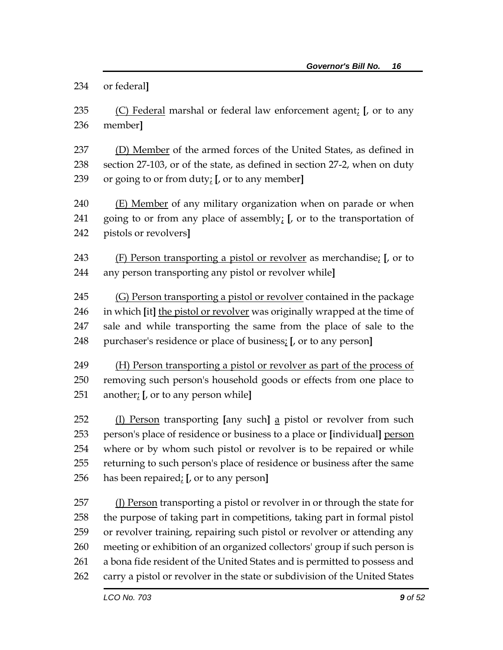or federal**]**

 (C) Federal marshal or federal law enforcement agent; **[**, or to any member**]**

 (D) Member of the armed forces of the United States, as defined in section 27-103, or of the state, as defined in section 27-2, when on duty or going to or from duty; **[**, or to any member**]**

 (E) Member of any military organization when on parade or when going to or from any place of assembly; **[**, or to the transportation of pistols or revolvers**]**

 (F) Person transporting a pistol or revolver as merchandise; **[**, or to any person transporting any pistol or revolver while**]**

245 (G) Person transporting a pistol or revolver contained in the package in which **[**it**]** the pistol or revolver was originally wrapped at the time of sale and while transporting the same from the place of sale to the purchaser's residence or place of business; **[**, or to any person**]**

 (H) Person transporting a pistol or revolver as part of the process of removing such person's household goods or effects from one place to another; **[**, or to any person while**]**

 (I) Person transporting **[**any such**]** a pistol or revolver from such person's place of residence or business to a place or **[**individual**]** person where or by whom such pistol or revolver is to be repaired or while returning to such person's place of residence or business after the same has been repaired; **[**, or to any person**]**

 (J) Person transporting a pistol or revolver in or through the state for the purpose of taking part in competitions, taking part in formal pistol or revolver training, repairing such pistol or revolver or attending any meeting or exhibition of an organized collectors' group if such person is a bona fide resident of the United States and is permitted to possess and carry a pistol or revolver in the state or subdivision of the United States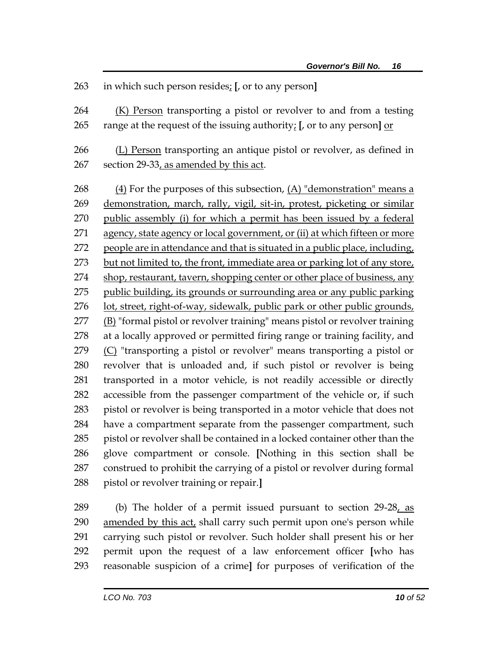### in which such person resides; **[**, or to any person**]**

 (K) Person transporting a pistol or revolver to and from a testing range at the request of the issuing authority; **[**, or to any person**]** or

266 (L) Person transporting an antique pistol or revolver, as defined in 267 section 29-33, as amended by this act.

 $(4)$  For the purposes of this subsection,  $(A)$  "demonstration" means a demonstration, march, rally, vigil, sit-in, protest, picketing or similar public assembly (i) for which a permit has been issued by a federal agency, state agency or local government, or (ii) at which fifteen or more people are in attendance and that is situated in a public place, including, but not limited to, the front, immediate area or parking lot of any store, 274 shop, restaurant, tavern, shopping center or other place of business, any public building, its grounds or surrounding area or any public parking lot, street, right-of-way, sidewalk, public park or other public grounds, (B) "formal pistol or revolver training" means pistol or revolver training at a locally approved or permitted firing range or training facility, and (C) "transporting a pistol or revolver" means transporting a pistol or revolver that is unloaded and, if such pistol or revolver is being transported in a motor vehicle, is not readily accessible or directly accessible from the passenger compartment of the vehicle or, if such pistol or revolver is being transported in a motor vehicle that does not have a compartment separate from the passenger compartment, such pistol or revolver shall be contained in a locked container other than the glove compartment or console. **[**Nothing in this section shall be construed to prohibit the carrying of a pistol or revolver during formal pistol or revolver training or repair.**]**

289 (b) The holder of a permit issued pursuant to section 29-28, as 290 amended by this act, shall carry such permit upon one's person while carrying such pistol or revolver. Such holder shall present his or her permit upon the request of a law enforcement officer **[**who has reasonable suspicion of a crime**]** for purposes of verification of the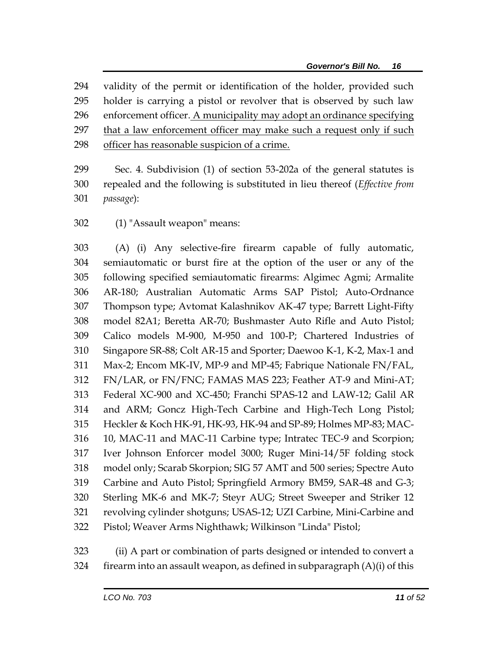validity of the permit or identification of the holder, provided such holder is carrying a pistol or revolver that is observed by such law enforcement officer. A municipality may adopt an ordinance specifying 297 that a law enforcement officer may make such a request only if such officer has reasonable suspicion of a crime.

 Sec. 4. Subdivision (1) of section 53-202a of the general statutes is repealed and the following is substituted in lieu thereof (*Effective from passage*):

(1) "Assault weapon" means:

 (A) (i) Any selective-fire firearm capable of fully automatic, semiautomatic or burst fire at the option of the user or any of the following specified semiautomatic firearms: Algimec Agmi; Armalite AR-180; Australian Automatic Arms SAP Pistol; Auto-Ordnance Thompson type; Avtomat Kalashnikov AK-47 type; Barrett Light-Fifty model 82A1; Beretta AR-70; Bushmaster Auto Rifle and Auto Pistol; Calico models M-900, M-950 and 100-P; Chartered Industries of Singapore SR-88; Colt AR-15 and Sporter; Daewoo K-1, K-2, Max-1 and Max-2; Encom MK-IV, MP-9 and MP-45; Fabrique Nationale FN/FAL, FN/LAR, or FN/FNC; FAMAS MAS 223; Feather AT-9 and Mini-AT; Federal XC-900 and XC-450; Franchi SPAS-12 and LAW-12; Galil AR and ARM; Goncz High-Tech Carbine and High-Tech Long Pistol; Heckler & Koch HK-91, HK-93, HK-94 and SP-89; Holmes MP-83; MAC- 10, MAC-11 and MAC-11 Carbine type; Intratec TEC-9 and Scorpion; Iver Johnson Enforcer model 3000; Ruger Mini-14/5F folding stock model only; Scarab Skorpion; SIG 57 AMT and 500 series; Spectre Auto Carbine and Auto Pistol; Springfield Armory BM59, SAR-48 and G-3; Sterling MK-6 and MK-7; Steyr AUG; Street Sweeper and Striker 12 revolving cylinder shotguns; USAS-12; UZI Carbine, Mini-Carbine and Pistol; Weaver Arms Nighthawk; Wilkinson "Linda" Pistol;

 (ii) A part or combination of parts designed or intended to convert a 324 firearm into an assault weapon, as defined in subparagraph  $(A)(i)$  of this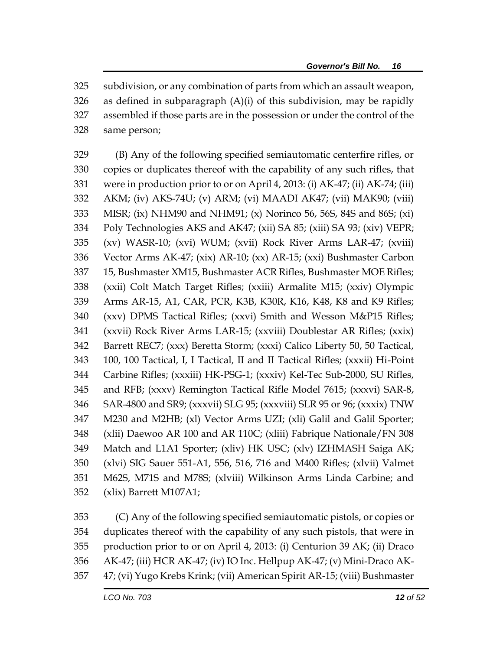subdivision, or any combination of parts from which an assault weapon, as defined in subparagraph (A)(i) of this subdivision, may be rapidly assembled if those parts are in the possession or under the control of the same person;

 (B) Any of the following specified semiautomatic centerfire rifles, or copies or duplicates thereof with the capability of any such rifles, that were in production prior to or on April 4, 2013: (i) AK-47; (ii) AK-74; (iii) AKM; (iv) AKS-74U; (v) ARM; (vi) MAADI AK47; (vii) MAK90; (viii) MISR; (ix) NHM90 and NHM91; (x) Norinco 56, 56S, 84S and 86S; (xi) Poly Technologies AKS and AK47; (xii) SA 85; (xiii) SA 93; (xiv) VEPR; (xv) WASR-10; (xvi) WUM; (xvii) Rock River Arms LAR-47; (xviii) Vector Arms AK-47; (xix) AR-10; (xx) AR-15; (xxi) Bushmaster Carbon 15, Bushmaster XM15, Bushmaster ACR Rifles, Bushmaster MOE Rifles; (xxii) Colt Match Target Rifles; (xxiii) Armalite M15; (xxiv) Olympic Arms AR-15, A1, CAR, PCR, K3B, K30R, K16, K48, K8 and K9 Rifles; (xxv) DPMS Tactical Rifles; (xxvi) Smith and Wesson M&P15 Rifles; (xxvii) Rock River Arms LAR-15; (xxviii) Doublestar AR Rifles; (xxix) Barrett REC7; (xxx) Beretta Storm; (xxxi) Calico Liberty 50, 50 Tactical, 100, 100 Tactical, I, I Tactical, II and II Tactical Rifles; (xxxii) Hi-Point Carbine Rifles; (xxxiii) HK-PSG-1; (xxxiv) Kel-Tec Sub-2000, SU Rifles, and RFB; (xxxv) Remington Tactical Rifle Model 7615; (xxxvi) SAR-8, SAR-4800 and SR9; (xxxvii) SLG 95; (xxxviii) SLR 95 or 96; (xxxix) TNW M230 and M2HB; (xl) Vector Arms UZI; (xli) Galil and Galil Sporter; (xlii) Daewoo AR 100 and AR 110C; (xliii) Fabrique Nationale/FN 308 Match and L1A1 Sporter; (xliv) HK USC; (xlv) IZHMASH Saiga AK; (xlvi) SIG Sauer 551-A1, 556, 516, 716 and M400 Rifles; (xlvii) Valmet M62S, M71S and M78S; (xlviii) Wilkinson Arms Linda Carbine; and (xlix) Barrett M107A1;

 (C) Any of the following specified semiautomatic pistols, or copies or duplicates thereof with the capability of any such pistols, that were in production prior to or on April 4, 2013: (i) Centurion 39 AK; (ii) Draco AK-47; (iii) HCR AK-47; (iv) IO Inc. Hellpup AK-47; (v) Mini-Draco AK-47; (vi) Yugo Krebs Krink; (vii) American Spirit AR-15; (viii) Bushmaster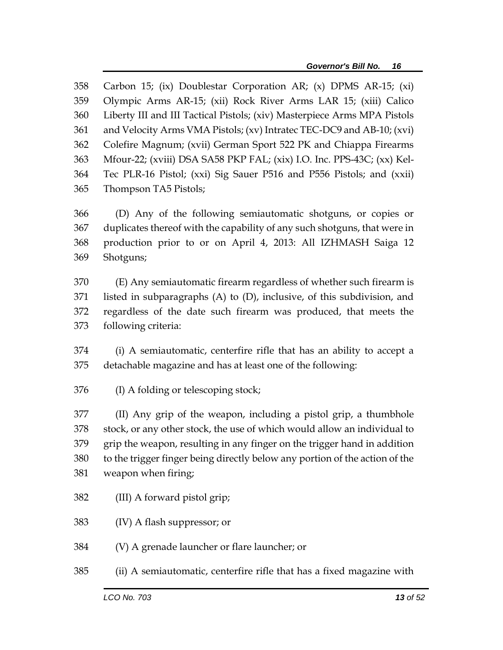Carbon 15; (ix) Doublestar Corporation AR; (x) DPMS AR-15; (xi) Olympic Arms AR-15; (xii) Rock River Arms LAR 15; (xiii) Calico Liberty III and III Tactical Pistols; (xiv) Masterpiece Arms MPA Pistols and Velocity Arms VMA Pistols; (xv) Intratec TEC-DC9 and AB-10; (xvi) Colefire Magnum; (xvii) German Sport 522 PK and Chiappa Firearms Mfour-22; (xviii) DSA SA58 PKP FAL; (xix) I.O. Inc. PPS-43C; (xx) Kel- Tec PLR-16 Pistol; (xxi) Sig Sauer P516 and P556 Pistols; and (xxii) Thompson TA5 Pistols;

 (D) Any of the following semiautomatic shotguns, or copies or duplicates thereof with the capability of any such shotguns, that were in production prior to or on April 4, 2013: All IZHMASH Saiga 12 Shotguns;

 (E) Any semiautomatic firearm regardless of whether such firearm is listed in subparagraphs (A) to (D), inclusive, of this subdivision, and regardless of the date such firearm was produced, that meets the following criteria:

 (i) A semiautomatic, centerfire rifle that has an ability to accept a detachable magazine and has at least one of the following:

(I) A folding or telescoping stock;

 (II) Any grip of the weapon, including a pistol grip, a thumbhole stock, or any other stock, the use of which would allow an individual to grip the weapon, resulting in any finger on the trigger hand in addition to the trigger finger being directly below any portion of the action of the weapon when firing;

- (III) A forward pistol grip;
- (IV) A flash suppressor; or

(V) A grenade launcher or flare launcher; or

(ii) A semiautomatic, centerfire rifle that has a fixed magazine with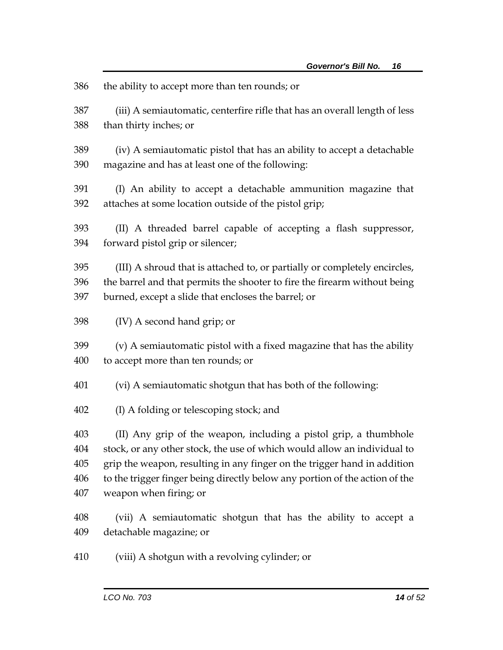| 386 | the ability to accept more than ten rounds; or                              |
|-----|-----------------------------------------------------------------------------|
| 387 | (iii) A semiautomatic, centerfire rifle that has an overall length of less  |
| 388 | than thirty inches; or                                                      |
| 389 | (iv) A semiautomatic pistol that has an ability to accept a detachable      |
| 390 | magazine and has at least one of the following:                             |
| 391 | (I) An ability to accept a detachable ammunition magazine that              |
| 392 | attaches at some location outside of the pistol grip;                       |
| 393 | (II) A threaded barrel capable of accepting a flash suppressor,             |
| 394 | forward pistol grip or silencer;                                            |
| 395 | (III) A shroud that is attached to, or partially or completely encircles,   |
| 396 | the barrel and that permits the shooter to fire the firearm without being   |
| 397 | burned, except a slide that encloses the barrel; or                         |
| 398 | (IV) A second hand grip; or                                                 |
| 399 | (v) A semiautomatic pistol with a fixed magazine that has the ability       |
| 400 | to accept more than ten rounds; or                                          |
| 401 | (vi) A semiautomatic shotgun that has both of the following:                |
| 402 | (I) A folding or telescoping stock; and                                     |
| 403 | (II) Any grip of the weapon, including a pistol grip, a thumbhole           |
| 404 | stock, or any other stock, the use of which would allow an individual to    |
| 405 | grip the weapon, resulting in any finger on the trigger hand in addition    |
| 406 | to the trigger finger being directly below any portion of the action of the |
| 407 | weapon when firing; or                                                      |
| 408 | (vii) A semiautomatic shotgun that has the ability to accept a              |
| 409 | detachable magazine; or                                                     |
| 410 | (viii) A shotgun with a revolving cylinder; or                              |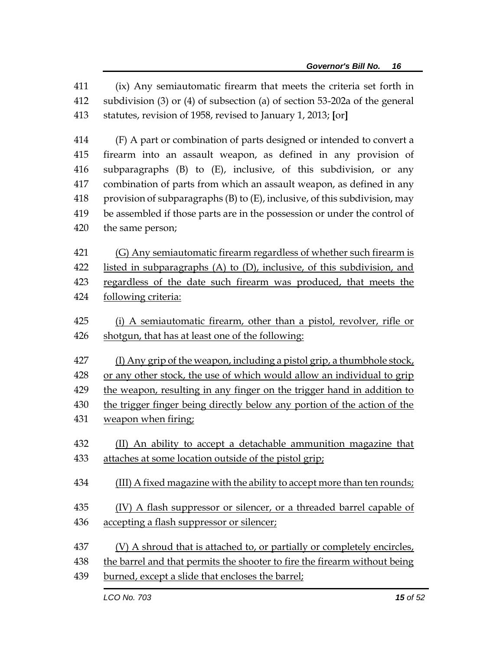(ix) Any semiautomatic firearm that meets the criteria set forth in subdivision (3) or (4) of subsection (a) of section 53-202a of the general statutes, revision of 1958, revised to January 1, 2013; **[**or**]**

 (F) A part or combination of parts designed or intended to convert a firearm into an assault weapon, as defined in any provision of subparagraphs (B) to (E), inclusive, of this subdivision, or any combination of parts from which an assault weapon, as defined in any 418 provision of subparagraphs  $(B)$  to  $(E)$ , inclusive, of this subdivision, may be assembled if those parts are in the possession or under the control of the same person;

 (G) Any semiautomatic firearm regardless of whether such firearm is listed in subparagraphs (A) to (D), inclusive, of this subdivision, and regardless of the date such firearm was produced, that meets the following criteria:

425 (i) A semiautomatic firearm, other than a pistol, revolver, rifle or shotgun, that has at least one of the following:

 (I) Any grip of the weapon, including a pistol grip, a thumbhole stock, or any other stock, the use of which would allow an individual to grip 429 the weapon, resulting in any finger on the trigger hand in addition to

the trigger finger being directly below any portion of the action of the

- weapon when firing;
- (II) An ability to accept a detachable ammunition magazine that attaches at some location outside of the pistol grip;
- 434 (III) A fixed magazine with the ability to accept more than ten rounds;
- 435 (IV) A flash suppressor or silencer, or a threaded barrel capable of accepting a flash suppressor or silencer;
- (V) A shroud that is attached to, or partially or completely encircles,
- the barrel and that permits the shooter to fire the firearm without being
- burned, except a slide that encloses the barrel;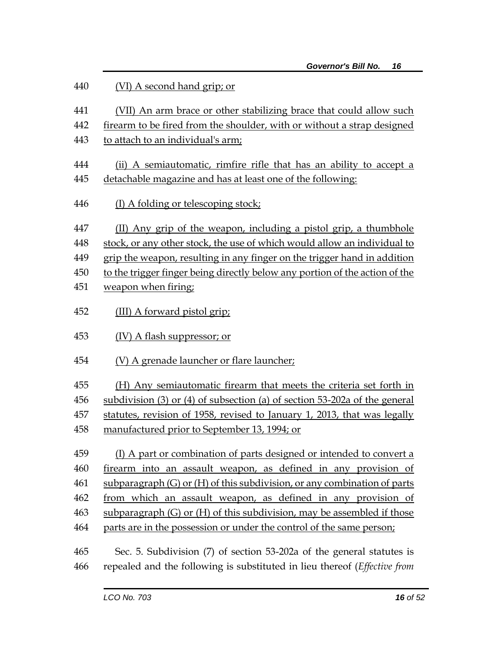| 440 | (VI) A second hand grip; or                                                      |
|-----|----------------------------------------------------------------------------------|
| 441 | (VII) An arm brace or other stabilizing brace that could allow such              |
| 442 | firearm to be fired from the shoulder, with or without a strap designed          |
| 443 | to attach to an individual's arm;                                                |
| 444 | (ii) A semiautomatic, rimfire rifle that has an ability to accept a              |
| 445 | detachable magazine and has at least one of the following:                       |
| 446 | (I) A folding or telescoping stock;                                              |
| 447 | (II) Any grip of the weapon, including a pistol grip, a thumbhole                |
| 448 | stock, or any other stock, the use of which would allow an individual to         |
| 449 | grip the weapon, resulting in any finger on the trigger hand in addition         |
| 450 | to the trigger finger being directly below any portion of the action of the      |
| 451 | weapon when firing;                                                              |
| 452 | (III) A forward pistol grip;                                                     |
| 453 | $(IV)$ A flash suppressor; or                                                    |
| 454 | (V) A grenade launcher or flare launcher;                                        |
| 455 | (H) Any semiautomatic firearm that meets the criteria set forth in               |
| 456 | subdivision $(3)$ or $(4)$ of subsection $(a)$ of section 53-202a of the general |
| 457 | statutes, revision of 1958, revised to January 1, 2013, that was legally         |
| 458 | manufactured prior to September 13, 1994; or                                     |
| 459 | (I) A part or combination of parts designed or intended to convert a             |
| 460 | firearm into an assault weapon, as defined in any provision of                   |
| 461 | subparagraph (G) or (H) of this subdivision, or any combination of parts         |
| 462 | from which an assault weapon, as defined in any provision of                     |
| 463 | subparagraph $(G)$ or $(H)$ of this subdivision, may be assembled if those       |
| 464 | parts are in the possession or under the control of the same person;             |
| 465 | Sec. 5. Subdivision (7) of section 53-202a of the general statutes is            |
| 466 | repealed and the following is substituted in lieu thereof (Effective from        |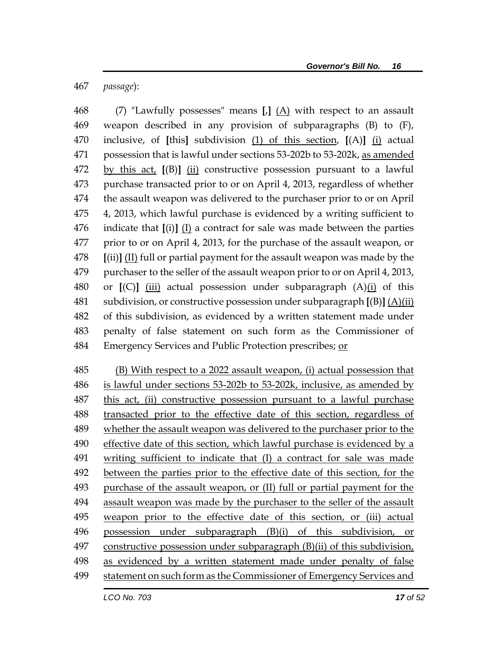*passage*):

 (7) "Lawfully possesses" means **[**,**]** (A) with respect to an assault weapon described in any provision of subparagraphs (B) to (F), inclusive, of **[**this**]** subdivision (1) of this section, **[**(A)**]** (i) actual possession that is lawful under sections 53-202b to 53-202k, as amended by this act, **[**(B)**]** (ii) constructive possession pursuant to a lawful purchase transacted prior to or on April 4, 2013, regardless of whether the assault weapon was delivered to the purchaser prior to or on April 4, 2013, which lawful purchase is evidenced by a writing sufficient to indicate that **[**(i)**]** (I) a contract for sale was made between the parties prior to or on April 4, 2013, for the purchase of the assault weapon, or **[**(ii)**]** (II) full or partial payment for the assault weapon was made by the purchaser to the seller of the assault weapon prior to or on April 4, 2013, or **[**(C)**]** (iii) actual possession under subparagraph (A)(i) of this subdivision, or constructive possession under subparagraph **[**(B)**]** (A)(ii) of this subdivision, as evidenced by a written statement made under penalty of false statement on such form as the Commissioner of Emergency Services and Public Protection prescribes; or

 (B) With respect to a 2022 assault weapon, (i) actual possession that is lawful under sections 53-202b to 53-202k, inclusive, as amended by this act, (ii) constructive possession pursuant to a lawful purchase transacted prior to the effective date of this section, regardless of whether the assault weapon was delivered to the purchaser prior to the effective date of this section, which lawful purchase is evidenced by a writing sufficient to indicate that (I) a contract for sale was made between the parties prior to the effective date of this section, for the purchase of the assault weapon, or (II) full or partial payment for the assault weapon was made by the purchaser to the seller of the assault weapon prior to the effective date of this section, or (iii) actual possession under subparagraph (B)(i) of this subdivision, or constructive possession under subparagraph (B)(ii) of this subdivision, 498 as evidenced by a written statement made under penalty of false statement on such form as the Commissioner of Emergency Services and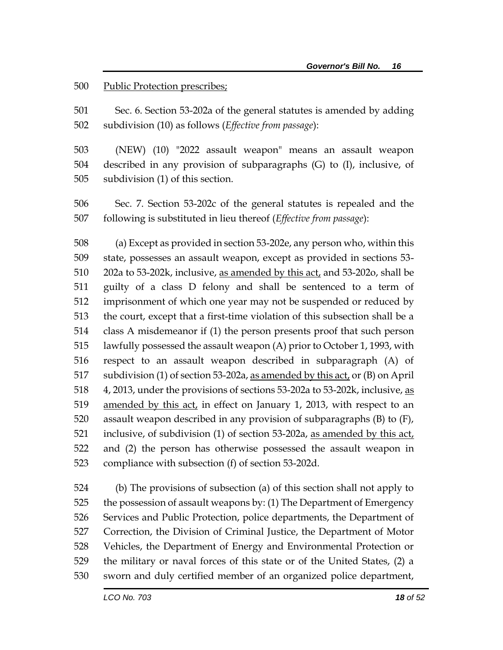#### Public Protection prescribes;

 Sec. 6. Section 53-202a of the general statutes is amended by adding subdivision (10) as follows (*Effective from passage*):

 (NEW) (10) "2022 assault weapon" means an assault weapon described in any provision of subparagraphs (G) to (I), inclusive, of subdivision (1) of this section.

 Sec. 7. Section 53-202c of the general statutes is repealed and the following is substituted in lieu thereof (*Effective from passage*):

 (a) Except as provided in section 53-202e, any person who, within this state, possesses an assault weapon, except as provided in sections 53- 202a to 53-202k, inclusive, as amended by this act, and 53-202o, shall be guilty of a class D felony and shall be sentenced to a term of imprisonment of which one year may not be suspended or reduced by the court, except that a first-time violation of this subsection shall be a class A misdemeanor if (1) the person presents proof that such person lawfully possessed the assault weapon (A) prior to October 1, 1993, with respect to an assault weapon described in subparagraph (A) of subdivision (1) of section 53-202a, as amended by this act, or (B) on April 518 4, 2013, under the provisions of sections 53-202a to 53-202k, inclusive, as amended by this act, in effect on January 1, 2013, with respect to an assault weapon described in any provision of subparagraphs (B) to (F), inclusive, of subdivision (1) of section 53-202a, as amended by this act, and (2) the person has otherwise possessed the assault weapon in compliance with subsection (f) of section 53-202d.

 (b) The provisions of subsection (a) of this section shall not apply to the possession of assault weapons by: (1) The Department of Emergency Services and Public Protection, police departments, the Department of Correction, the Division of Criminal Justice, the Department of Motor Vehicles, the Department of Energy and Environmental Protection or the military or naval forces of this state or of the United States, (2) a sworn and duly certified member of an organized police department,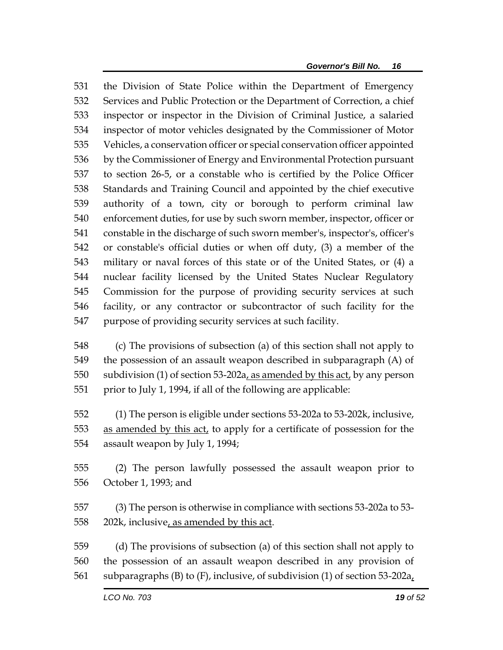the Division of State Police within the Department of Emergency Services and Public Protection or the Department of Correction, a chief inspector or inspector in the Division of Criminal Justice, a salaried inspector of motor vehicles designated by the Commissioner of Motor Vehicles, a conservation officer or special conservation officer appointed by the Commissioner of Energy and Environmental Protection pursuant to section 26-5, or a constable who is certified by the Police Officer Standards and Training Council and appointed by the chief executive authority of a town, city or borough to perform criminal law enforcement duties, for use by such sworn member, inspector, officer or constable in the discharge of such sworn member's, inspector's, officer's or constable's official duties or when off duty, (3) a member of the military or naval forces of this state or of the United States, or (4) a nuclear facility licensed by the United States Nuclear Regulatory Commission for the purpose of providing security services at such facility, or any contractor or subcontractor of such facility for the purpose of providing security services at such facility.

 (c) The provisions of subsection (a) of this section shall not apply to the possession of an assault weapon described in subparagraph (A) of subdivision (1) of section 53-202a, as amended by this act, by any person 551 prior to July 1, 1994, if all of the following are applicable:

 (1) The person is eligible under sections 53-202a to 53-202k, inclusive, as amended by this act, to apply for a certificate of possession for the assault weapon by July 1, 1994;

 (2) The person lawfully possessed the assault weapon prior to October 1, 1993; and

 (3) The person is otherwise in compliance with sections 53-202a to 53- 202k, inclusive, as amended by this act.

 (d) The provisions of subsection (a) of this section shall not apply to the possession of an assault weapon described in any provision of subparagraphs (B) to (F), inclusive, of subdivision (1) of section 53-202a,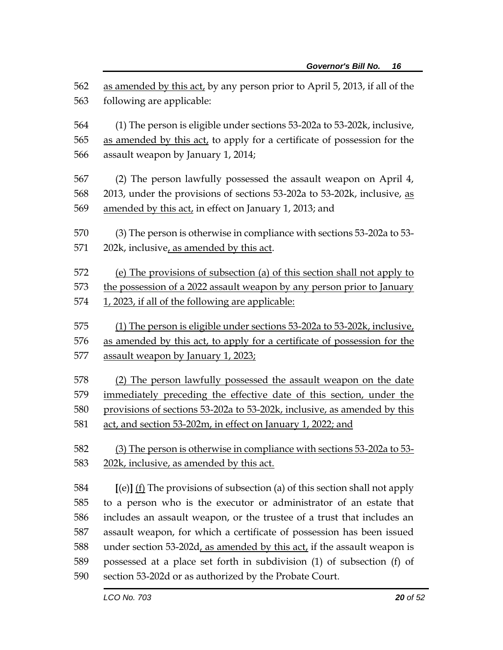| 562 | as amended by this act, by any person prior to April 5, 2013, if all of the  |
|-----|------------------------------------------------------------------------------|
| 563 | following are applicable:                                                    |
|     |                                                                              |
| 564 | (1) The person is eligible under sections 53-202a to 53-202k, inclusive,     |
| 565 | as amended by this act, to apply for a certificate of possession for the     |
| 566 | assault weapon by January 1, 2014;                                           |
| 567 | (2) The person lawfully possessed the assault weapon on April 4,             |
| 568 | 2013, under the provisions of sections 53-202a to 53-202k, inclusive, as     |
| 569 | amended by this act, in effect on January 1, 2013; and                       |
|     |                                                                              |
| 570 | (3) The person is otherwise in compliance with sections 53-202a to 53-       |
| 571 | 202k, inclusive, as amended by this act.                                     |
| 572 | (e) The provisions of subsection (a) of this section shall not apply to      |
| 573 | the possession of a 2022 assault weapon by any person prior to January       |
| 574 | 1, 2023, if all of the following are applicable:                             |
|     |                                                                              |
| 575 | (1) The person is eligible under sections 53-202a to 53-202k, inclusive,     |
| 576 | as amended by this act, to apply for a certificate of possession for the     |
| 577 | assault weapon by January 1, 2023;                                           |
| 578 | (2) The person lawfully possessed the assault weapon on the date             |
| 579 | immediately preceding the effective date of this section, under the          |
| 580 | provisions of sections 53-202a to 53-202k, inclusive, as amended by this     |
| 581 | act, and section 53-202m, in effect on January 1, 2022; and                  |
|     |                                                                              |
| 582 | (3) The person is otherwise in compliance with sections 53-202a to 53-       |
| 583 | 202k, inclusive, as amended by this act.                                     |
| 584 | $[(e)]$ (f) The provisions of subsection (a) of this section shall not apply |
| 585 | to a person who is the executor or administrator of an estate that           |
| 586 | includes an assault weapon, or the trustee of a trust that includes an       |
| 587 | assault weapon, for which a certificate of possession has been issued        |
| 588 | under section 53-202d, as amended by this act, if the assault weapon is      |
| 589 | possessed at a place set forth in subdivision (1) of subsection (f) of       |
| 590 | section 53-202d or as authorized by the Probate Court.                       |
|     |                                                                              |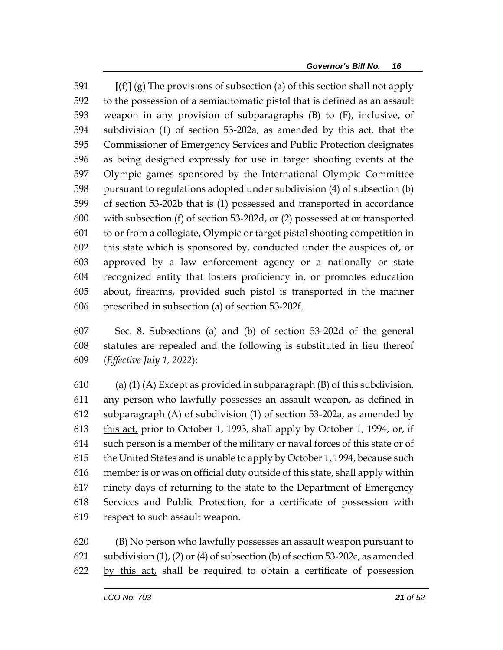**[**(f)**]** (g) The provisions of subsection (a) of this section shall not apply to the possession of a semiautomatic pistol that is defined as an assault weapon in any provision of subparagraphs (B) to (F), inclusive, of subdivision (1) of section 53-202a, as amended by this act, that the Commissioner of Emergency Services and Public Protection designates as being designed expressly for use in target shooting events at the Olympic games sponsored by the International Olympic Committee pursuant to regulations adopted under subdivision (4) of subsection (b) of section 53-202b that is (1) possessed and transported in accordance with subsection (f) of section 53-202d, or (2) possessed at or transported to or from a collegiate, Olympic or target pistol shooting competition in this state which is sponsored by, conducted under the auspices of, or approved by a law enforcement agency or a nationally or state recognized entity that fosters proficiency in, or promotes education about, firearms, provided such pistol is transported in the manner prescribed in subsection (a) of section 53-202f.

 Sec. 8. Subsections (a) and (b) of section 53-202d of the general statutes are repealed and the following is substituted in lieu thereof (*Effective July 1, 2022*):

610 (a) (1) (A) Except as provided in subparagraph (B) of this subdivision, any person who lawfully possesses an assault weapon, as defined in 612 subparagraph (A) of subdivision (1) of section 53-202a, as amended by this act, prior to October 1, 1993, shall apply by October 1, 1994, or, if such person is a member of the military or naval forces of this state or of the United States and is unable to apply by October 1, 1994, because such memberis or was on official duty outside of this state, shall apply within ninety days of returning to the state to the Department of Emergency Services and Public Protection, for a certificate of possession with respect to such assault weapon.

 (B) No person who lawfully possesses an assault weapon pursuant to 621 subdivision  $(1)$ ,  $(2)$  or  $(4)$  of subsection  $(b)$  of section 53-202c, as amended by this act, shall be required to obtain a certificate of possession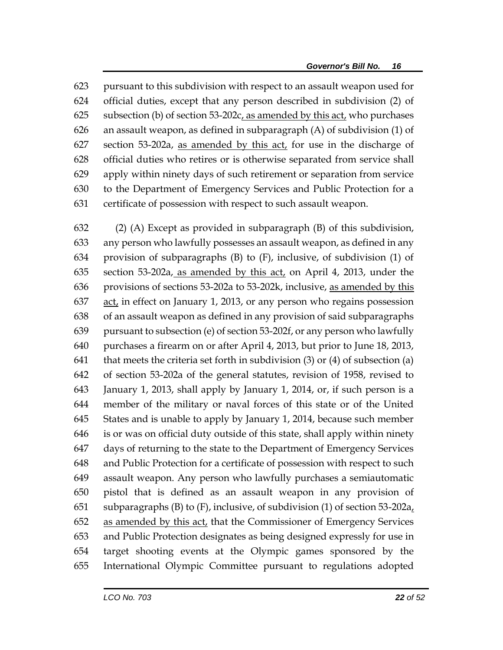pursuant to this subdivision with respect to an assault weapon used for official duties, except that any person described in subdivision (2) of subsection (b) of section 53-202c, as amended by this act, who purchases an assault weapon, as defined in subparagraph (A) of subdivision (1) of section 53-202a, as amended by this act, for use in the discharge of official duties who retires or is otherwise separated from service shall apply within ninety days of such retirement or separation from service to the Department of Emergency Services and Public Protection for a certificate of possession with respect to such assault weapon.

 (2) (A) Except as provided in subparagraph (B) of this subdivision, any person who lawfully possesses an assault weapon, as defined in any provision of subparagraphs (B) to (F), inclusive, of subdivision (1) of section 53-202a, as amended by this act, on April 4, 2013, under the provisions of sections 53-202a to 53-202k, inclusive, as amended by this act, in effect on January 1, 2013, or any person who regains possession of an assault weapon as defined in any provision of said subparagraphs pursuant to subsection (e) of section 53-202f, or any person who lawfully purchases a firearm on or after April 4, 2013, but prior to June 18, 2013, 641 that meets the criteria set forth in subdivision  $(3)$  or  $(4)$  of subsection  $(a)$  of section 53-202a of the general statutes, revision of 1958, revised to January 1, 2013, shall apply by January 1, 2014, or, if such person is a member of the military or naval forces of this state or of the United States and is unable to apply by January 1, 2014, because such member is or was on official duty outside of this state, shall apply within ninety days of returning to the state to the Department of Emergency Services and Public Protection for a certificate of possession with respect to such assault weapon. Any person who lawfully purchases a semiautomatic pistol that is defined as an assault weapon in any provision of 651 subparagraphs (B) to (F), inclusive, of subdivision (1) of section 53-202 $a<sub>L</sub>$ 652 as amended by this act, that the Commissioner of Emergency Services and Public Protection designates as being designed expressly for use in target shooting events at the Olympic games sponsored by the International Olympic Committee pursuant to regulations adopted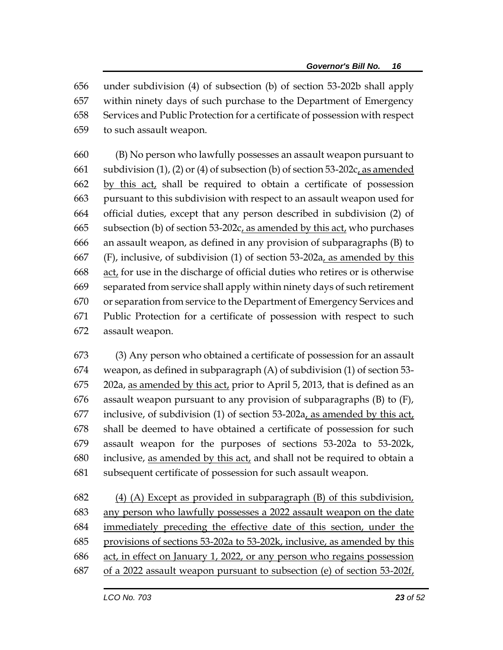under subdivision (4) of subsection (b) of section 53-202b shall apply within ninety days of such purchase to the Department of Emergency Services and Public Protection for a certificate of possession with respect to such assault weapon.

 (B) No person who lawfully possesses an assault weapon pursuant to 661 subdivision (1), (2) or (4) of subsection (b) of section 53-202c, as amended by this act, shall be required to obtain a certificate of possession pursuant to this subdivision with respect to an assault weapon used for official duties, except that any person described in subdivision (2) of subsection (b) of section 53-202c, as amended by this act, who purchases an assault weapon, as defined in any provision of subparagraphs (B) to (F), inclusive, of subdivision (1) of section 53-202a, as amended by this act, for use in the discharge of official duties who retires or is otherwise separated from service shall apply within ninety days of such retirement or separation from service to the Department of Emergency Services and Public Protection for a certificate of possession with respect to such assault weapon.

 (3) Any person who obtained a certificate of possession for an assault weapon, as defined in subparagraph (A) of subdivision (1) of section 53- 202a, as amended by this act, prior to April 5, 2013, that is defined as an assault weapon pursuant to any provision of subparagraphs (B) to (F), 677 inclusive, of subdivision (1) of section  $53-202a$ , as amended by this act, shall be deemed to have obtained a certificate of possession for such assault weapon for the purposes of sections 53-202a to 53-202k, inclusive, as amended by this act, and shall not be required to obtain a subsequent certificate of possession for such assault weapon.

682 (4) (A) Except as provided in subparagraph (B) of this subdivision, any person who lawfully possesses a 2022 assault weapon on the date immediately preceding the effective date of this section, under the provisions of sections 53-202a to 53-202k, inclusive, as amended by this act, in effect on January 1, 2022, or any person who regains possession of a 2022 assault weapon pursuant to subsection (e) of section 53-202f,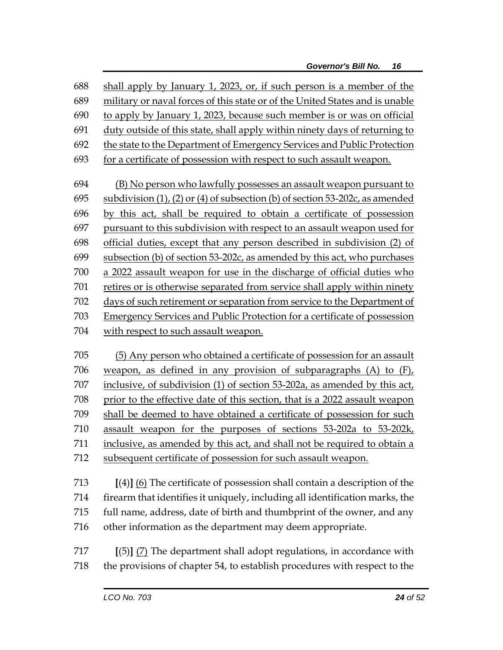shall apply by January 1, 2023, or, if such person is a member of the military or naval forces of this state or of the United States and is unable to apply by January 1, 2023, because such member is or was on official duty outside of this state, shall apply within ninety days of returning to the state to the Department of Emergency Services and Public Protection for a certificate of possession with respect to such assault weapon. (B) No person who lawfully possesses an assault weapon pursuant to 695 subdivision  $(1)$ ,  $(2)$  or  $(4)$  of subsection  $(b)$  of section 53-202c, as amended by this act, shall be required to obtain a certificate of possession pursuant to this subdivision with respect to an assault weapon used for official duties, except that any person described in subdivision (2) of subsection (b) of section 53-202c, as amended by this act, who purchases a 2022 assault weapon for use in the discharge of official duties who retires or is otherwise separated from service shall apply within ninety days of such retirement or separation from service to the Department of Emergency Services and Public Protection for a certificate of possession with respect to such assault weapon. (5) Any person who obtained a certificate of possession for an assault weapon, as defined in any provision of subparagraphs (A) to (F), inclusive, of subdivision (1) of section 53-202a, as amended by this act, prior to the effective date of this section, that is a 2022 assault weapon shall be deemed to have obtained a certificate of possession for such assault weapon for the purposes of sections 53-202a to 53-202k,

711 inclusive, as amended by this act, and shall not be required to obtain a

subsequent certificate of possession for such assault weapon.

 **[**(4)**]** (6) The certificate of possession shall contain a description of the firearm that identifies it uniquely, including all identification marks, the full name, address, date of birth and thumbprint of the owner, and any other information as the department may deem appropriate.

 **[**(5)**]** (7) The department shall adopt regulations, in accordance with the provisions of chapter 54, to establish procedures with respect to the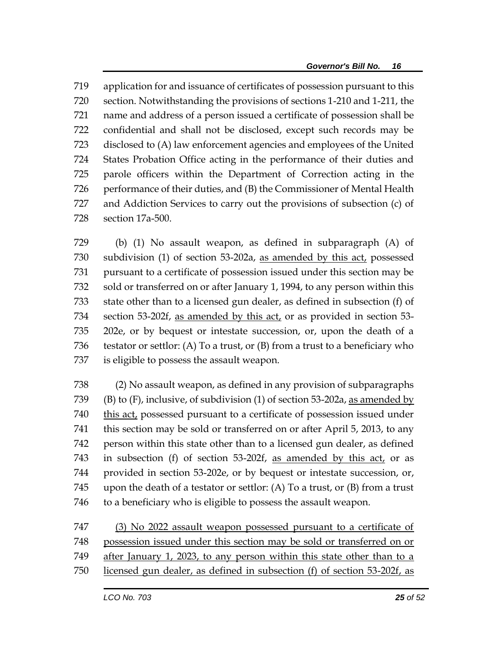application for and issuance of certificates of possession pursuant to this section. Notwithstanding the provisions of sections 1-210 and 1-211, the name and address of a person issued a certificate of possession shall be confidential and shall not be disclosed, except such records may be disclosed to (A) law enforcement agencies and employees of the United States Probation Office acting in the performance of their duties and parole officers within the Department of Correction acting in the performance of their duties, and (B) the Commissioner of Mental Health and Addiction Services to carry out the provisions of subsection (c) of section 17a-500.

 (b) (1) No assault weapon, as defined in subparagraph (A) of subdivision (1) of section 53-202a, as amended by this act, possessed pursuant to a certificate of possession issued under this section may be sold or transferred on or after January 1, 1994, to any person within this state other than to a licensed gun dealer, as defined in subsection (f) of section 53-202f, as amended by this act, or as provided in section 53- 202e, or by bequest or intestate succession, or, upon the death of a testator or settlor: (A) To a trust, or (B) from a trust to a beneficiary who is eligible to possess the assault weapon.

 (2) No assault weapon, as defined in any provision of subparagraphs (B) to (F), inclusive, of subdivision (1) of section 53-202a, as amended by 740 this act, possessed pursuant to a certificate of possession issued under this section may be sold or transferred on or after April 5, 2013, to any person within this state other than to a licensed gun dealer, as defined in subsection (f) of section 53-202f, as amended by this act, or as provided in section 53-202e, or by bequest or intestate succession, or, 745 upon the death of a testator or settlor: (A) To a trust, or  $(B)$  from a trust to a beneficiary who is eligible to possess the assault weapon.

 (3) No 2022 assault weapon possessed pursuant to a certificate of possession issued under this section may be sold or transferred on or after January 1, 2023, to any person within this state other than to a licensed gun dealer, as defined in subsection (f) of section 53-202f, as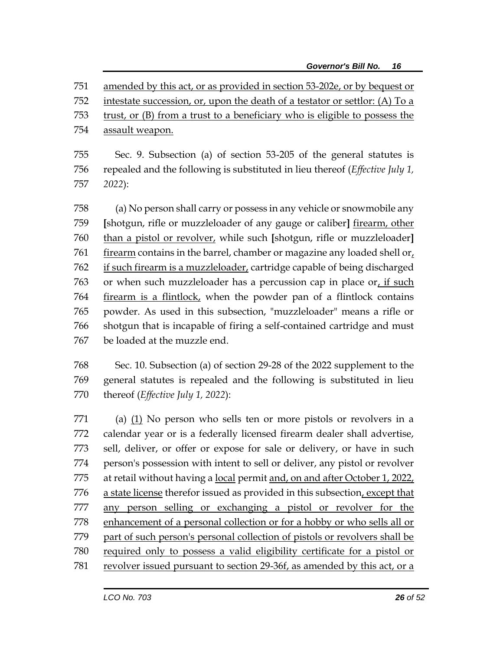amended by this act, or as provided in section 53-202e, or by bequest or intestate succession, or, upon the death of a testator or settlor: (A) To a

- trust, or (B) from a trust to a beneficiary who is eligible to possess the
- 754 assault weapon.

 Sec. 9. Subsection (a) of section 53-205 of the general statutes is repealed and the following is substituted in lieu thereof (*Effective July 1, 2022*):

 (a) No person shall carry or possess in any vehicle or snowmobile any **[**shotgun, rifle or muzzleloader of any gauge or caliber**]** firearm, other than a pistol or revolver, while such **[**shotgun, rifle or muzzleloader**]** 761 firearm contains in the barrel, chamber or magazine any loaded shell or, 762 if such firearm is a muzzleloader, cartridge capable of being discharged or when such muzzleloader has a percussion cap in place or, if such firearm is a flintlock, when the powder pan of a flintlock contains powder. As used in this subsection, "muzzleloader" means a rifle or shotgun that is incapable of firing a self-contained cartridge and must be loaded at the muzzle end.

 Sec. 10. Subsection (a) of section 29-28 of the 2022 supplement to the general statutes is repealed and the following is substituted in lieu thereof (*Effective July 1, 2022*):

 (a) (1) No person who sells ten or more pistols or revolvers in a calendar year or is a federally licensed firearm dealer shall advertise, sell, deliver, or offer or expose for sale or delivery, or have in such person's possession with intent to sell or deliver, any pistol or revolver 775 at retail without having a local permit and, on and after October 1, 2022, a state license therefor issued as provided in this subsection, except that any person selling or exchanging a pistol or revolver for the enhancement of a personal collection or for a hobby or who sells all or part of such person's personal collection of pistols or revolvers shall be required only to possess a valid eligibility certificate for a pistol or revolver issued pursuant to section 29-36f, as amended by this act, or a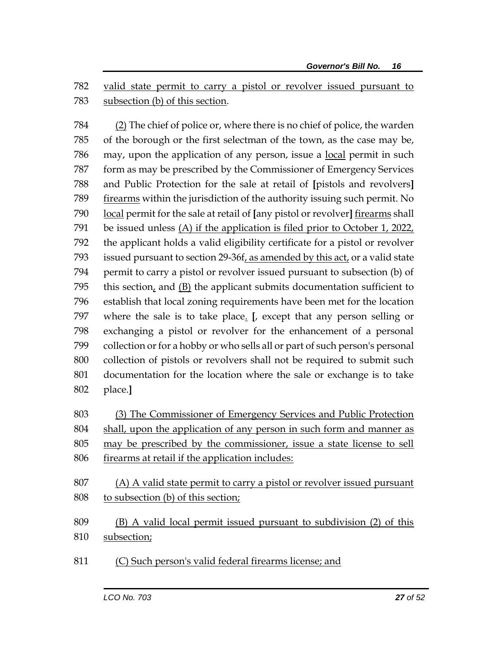valid state permit to carry a pistol or revolver issued pursuant to subsection (b) of this section.

 (2) The chief of police or, where there is no chief of police, the warden of the borough or the first selectman of the town, as the case may be, 786 may, upon the application of any person, issue a <u>local</u> permit in such form as may be prescribed by the Commissioner of Emergency Services and Public Protection for the sale at retail of **[**pistols and revolvers**]** firearms within the jurisdiction of the authority issuing such permit. No local permit for the sale at retail of **[**any pistol or revolver**]** firearms shall be issued unless (A) if the application is filed prior to October 1, 2022, the applicant holds a valid eligibility certificate for a pistol or revolver issued pursuant to section 29-36f, as amended by this act, or a valid state permit to carry a pistol or revolver issued pursuant to subsection (b) of 795 this section, and  $(B)$  the applicant submits documentation sufficient to establish that local zoning requirements have been met for the location where the sale is to take place. **[**, except that any person selling or exchanging a pistol or revolver for the enhancement of a personal collection or for a hobby or who sells all or part of such person's personal collection of pistols or revolvers shall not be required to submit such documentation for the location where the sale or exchange is to take place.**]**

 (3) The Commissioner of Emergency Services and Public Protection shall, upon the application of any person in such form and manner as may be prescribed by the commissioner, issue a state license to sell firearms at retail if the application includes:

- (A) A valid state permit to carry a pistol or revolver issued pursuant to subsection (b) of this section;
- (B) A valid local permit issued pursuant to subdivision (2) of this subsection;
- (C) Such person's valid federal firearms license; and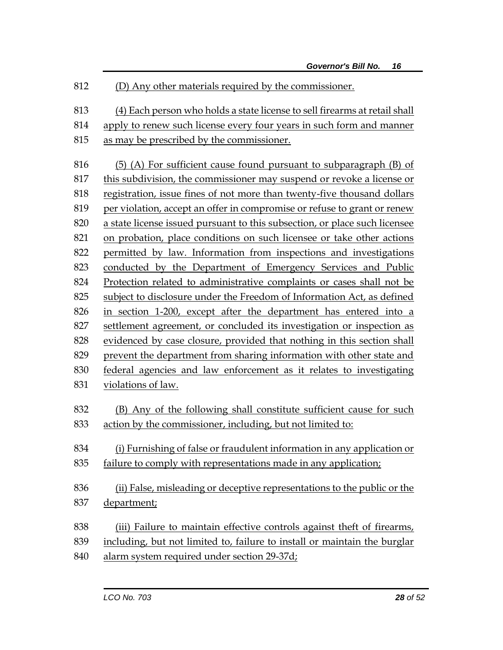(D) Any other materials required by the commissioner. (4) Each person who holds a state license to sell firearms at retail shall apply to renew such license every four years in such form and manner as may be prescribed by the commissioner. (5) (A) For sufficient cause found pursuant to subparagraph (B) of this subdivision, the commissioner may suspend or revoke a license or registration, issue fines of not more than twenty-five thousand dollars per violation, accept an offer in compromise or refuse to grant or renew a state license issued pursuant to this subsection, or place such licensee on probation, place conditions on such licensee or take other actions permitted by law. Information from inspections and investigations conducted by the Department of Emergency Services and Public Protection related to administrative complaints or cases shall not be subject to disclosure under the Freedom of Information Act, as defined in section 1-200, except after the department has entered into a settlement agreement, or concluded its investigation or inspection as evidenced by case closure, provided that nothing in this section shall prevent the department from sharing information with other state and federal agencies and law enforcement as it relates to investigating violations of law. (B) Any of the following shall constitute sufficient cause for such action by the commissioner, including, but not limited to: (i) Furnishing of false or fraudulent information in any application or failure to comply with representations made in any application; (ii) False, misleading or deceptive representations to the public or the department; (iii) Failure to maintain effective controls against theft of firearms, including, but not limited to, failure to install or maintain the burglar alarm system required under section 29-37d;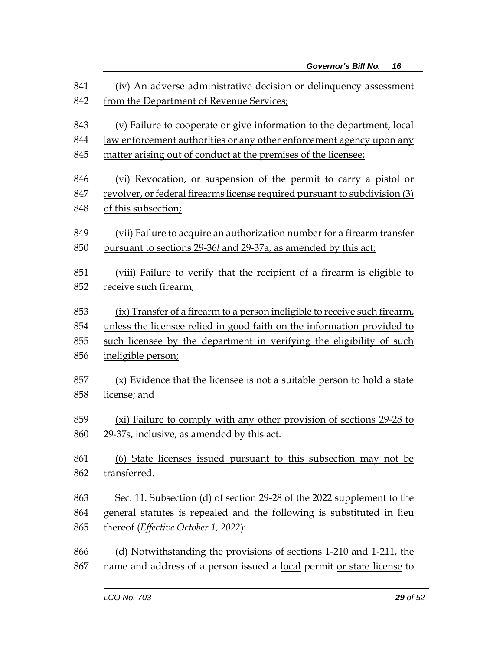| 841 | (iv) An adverse administrative decision or delinquency assessment           |
|-----|-----------------------------------------------------------------------------|
| 842 | from the Department of Revenue Services;                                    |
| 843 | (v) Failure to cooperate or give information to the department, local       |
| 844 | <u>law enforcement authorities or any other enforcement agency upon any</u> |
| 845 | matter arising out of conduct at the premises of the licensee;              |
| 846 | (vi) Revocation, or suspension of the permit to carry a pistol or           |
| 847 | revolver, or federal firearms license required pursuant to subdivision (3)  |
| 848 | of this subsection;                                                         |
| 849 | (vii) Failure to acquire an authorization number for a firearm transfer     |
| 850 | pursuant to sections 29-36l and 29-37a, as amended by this act;             |
| 851 | (viii) Failure to verify that the recipient of a firearm is eligible to     |
| 852 | receive such firearm;                                                       |
| 853 | (ix) Transfer of a firearm to a person ineligible to receive such firearm,  |
| 854 | unless the licensee relied in good faith on the information provided to     |
| 855 | such licensee by the department in verifying the eligibility of such        |
| 856 | ineligible person;                                                          |
| 857 | (x) Evidence that the licensee is not a suitable person to hold a state     |
| 858 | license; and                                                                |
| 859 | (xi) Failure to comply with any other provision of sections 29-28 to        |
| 860 | 29-37s, inclusive, as amended by this act.                                  |
| 861 | (6) State licenses issued pursuant to this subsection may not be            |
| 862 | transferred.                                                                |
| 863 | Sec. 11. Subsection (d) of section 29-28 of the 2022 supplement to the      |
| 864 | general statutes is repealed and the following is substituted in lieu       |
| 865 | thereof ( <i>Effective October 1</i> , 2022):                               |
| 866 | (d) Notwithstanding the provisions of sections 1-210 and 1-211, the         |
| 867 | name and address of a person issued a local permit or state license to      |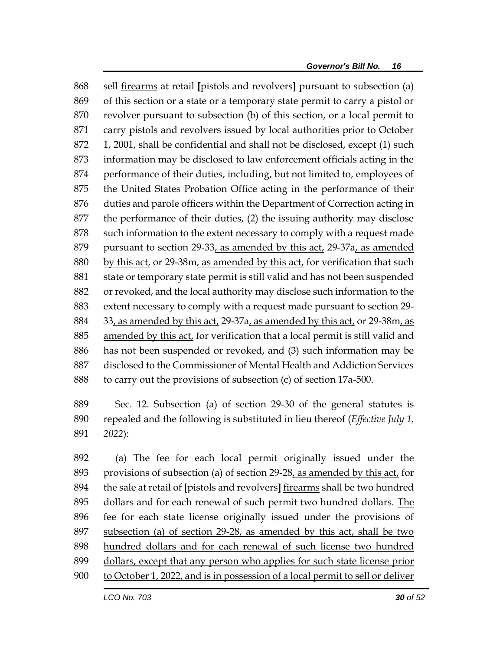sell firearms at retail **[**pistols and revolvers**]** pursuant to subsection (a) of this section or a state or a temporary state permit to carry a pistol or revolver pursuant to subsection (b) of this section, or a local permit to carry pistols and revolvers issued by local authorities prior to October 1, 2001, shall be confidential and shall not be disclosed, except (1) such information may be disclosed to law enforcement officials acting in the performance of their duties, including, but not limited to, employees of the United States Probation Office acting in the performance of their duties and parole officers within the Department of Correction acting in the performance of their duties, (2) the issuing authority may disclose 878 such information to the extent necessary to comply with a request made 879 pursuant to section 29-33, as amended by this act, 29-37a, as amended by this act, or 29-38m, as amended by this act, for verification that such state or temporary state permit is still valid and has not been suspended or revoked, and the local authority may disclose such information to the extent necessary to comply with a request made pursuant to section 29- 33, as amended by this act, 29-37a, as amended by this act, or 29-38m, as amended by this act, for verification that a local permit is still valid and has not been suspended or revoked, and (3) such information may be disclosed to the Commissioner of Mental Health and Addiction Services to carry out the provisions of subsection (c) of section 17a-500.

 Sec. 12. Subsection (a) of section 29-30 of the general statutes is repealed and the following is substituted in lieu thereof (*Effective July 1, 2022*):

 (a) The fee for each local permit originally issued under the provisions of subsection (a) of section 29-28, as amended by this act, for the sale at retail of **[**pistols and revolvers**]** firearms shall be two hundred dollars and for each renewal of such permit two hundred dollars. The fee for each state license originally issued under the provisions of subsection (a) of section 29-28, as amended by this act, shall be two hundred dollars and for each renewal of such license two hundred dollars, except that any person who applies for such state license prior to October 1, 2022, and is in possession of a local permit to sell or deliver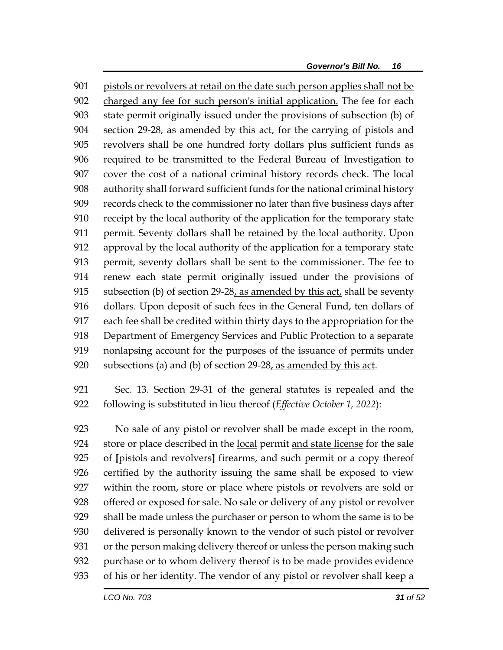pistols or revolvers at retail on the date such person applies shall not be charged any fee for such person's initial application. The fee for each state permit originally issued under the provisions of subsection (b) of 904 section 29-28, as amended by this act, for the carrying of pistols and revolvers shall be one hundred forty dollars plus sufficient funds as required to be transmitted to the Federal Bureau of Investigation to cover the cost of a national criminal history records check. The local authority shall forward sufficient funds for the national criminal history records check to the commissioner no later than five business days after receipt by the local authority of the application for the temporary state permit. Seventy dollars shall be retained by the local authority. Upon approval by the local authority of the application for a temporary state permit, seventy dollars shall be sent to the commissioner. The fee to renew each state permit originally issued under the provisions of 915 subsection (b) of section  $29-28$ , as amended by this act, shall be seventy dollars. Upon deposit of such fees in the General Fund, ten dollars of each fee shall be credited within thirty days to the appropriation for the Department of Emergency Services and Public Protection to a separate nonlapsing account for the purposes of the issuance of permits under 920 subsections (a) and (b) of section  $29-28$ , as amended by this act.

 Sec. 13. Section 29-31 of the general statutes is repealed and the following is substituted in lieu thereof (*Effective October 1, 2022*):

 No sale of any pistol or revolver shall be made except in the room, store or place described in the local permit and state license for the sale of **[**pistols and revolvers**]** firearms, and such permit or a copy thereof certified by the authority issuing the same shall be exposed to view within the room, store or place where pistols or revolvers are sold or offered or exposed for sale. No sale or delivery of any pistol or revolver shall be made unless the purchaser or person to whom the same is to be delivered is personally known to the vendor of such pistol or revolver or the person making delivery thereof or unless the person making such purchase or to whom delivery thereof is to be made provides evidence of his or her identity. The vendor of any pistol or revolver shall keep a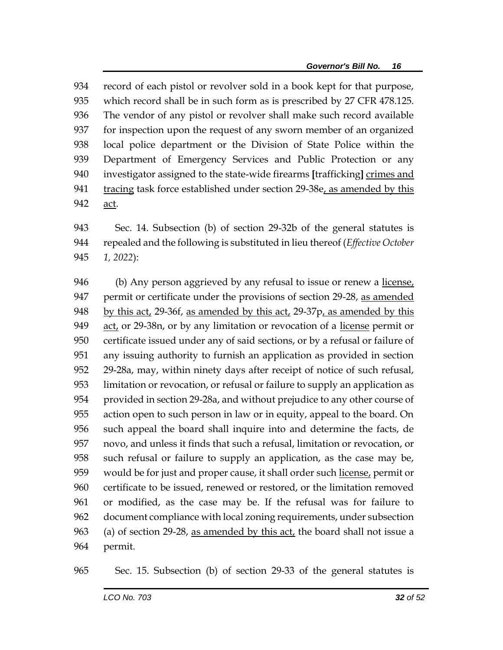record of each pistol or revolver sold in a book kept for that purpose, which record shall be in such form as is prescribed by 27 CFR 478.125. The vendor of any pistol or revolver shall make such record available for inspection upon the request of any sworn member of an organized local police department or the Division of State Police within the Department of Emergency Services and Public Protection or any investigator assigned to the state-wide firearms **[**trafficking**]** crimes and 941 tracing task force established under section 29-38e, as amended by this act.

 Sec. 14. Subsection (b) of section 29-32b of the general statutes is repealed and the following is substituted in lieu thereof (*Effective October 1, 2022*):

 (b) Any person aggrieved by any refusal to issue or renew a license, 947 permit or certificate under the provisions of section 29-28, as amended by this act, 29-36f, as amended by this act, 29-37p, as amended by this act, or 29-38n, or by any limitation or revocation of a license permit or certificate issued under any of said sections, or by a refusal or failure of any issuing authority to furnish an application as provided in section 29-28a, may, within ninety days after receipt of notice of such refusal, limitation or revocation, or refusal or failure to supply an application as provided in section 29-28a, and without prejudice to any other course of action open to such person in law or in equity, appeal to the board. On such appeal the board shall inquire into and determine the facts, de novo, and unless it finds that such a refusal, limitation or revocation, or such refusal or failure to supply an application, as the case may be, would be for just and proper cause, it shall order such license, permit or certificate to be issued, renewed or restored, or the limitation removed or modified, as the case may be. If the refusal was for failure to document compliance with local zoning requirements, under subsection 963 (a) of section 29-28, as amended by this act, the board shall not issue a permit.

Sec. 15. Subsection (b) of section 29-33 of the general statutes is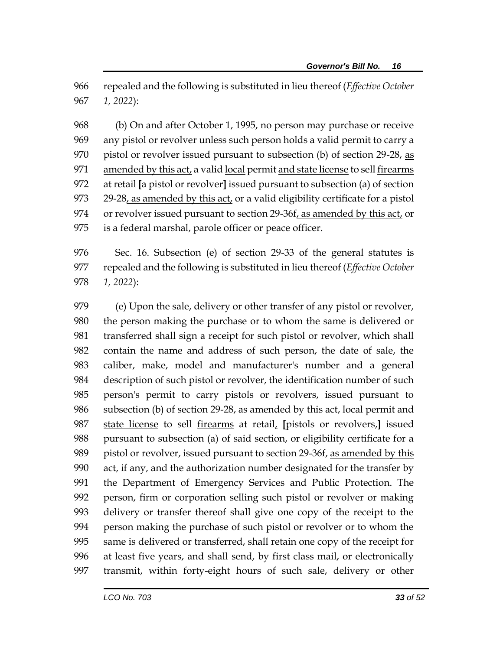repealed and the following is substituted in lieu thereof (*Effective October 1, 2022*):

 (b) On and after October 1, 1995, no person may purchase or receive any pistol or revolver unless such person holds a valid permit to carry a 970 pistol or revolver issued pursuant to subsection (b) of section 29-28, as amended by this act, a valid local permit and state license to sell firearms at retail **[**a pistol or revolver**]** issued pursuant to subsection (a) of section 29-28, as amended by this act, or a valid eligibility certificate for a pistol or revolver issued pursuant to section 29-36f, as amended by this act, or is a federal marshal, parole officer or peace officer.

 Sec. 16. Subsection (e) of section 29-33 of the general statutes is repealed and the following is substituted in lieu thereof (*Effective October 1, 2022*):

 (e) Upon the sale, delivery or other transfer of any pistol or revolver, the person making the purchase or to whom the same is delivered or transferred shall sign a receipt for such pistol or revolver, which shall contain the name and address of such person, the date of sale, the caliber, make, model and manufacturer's number and a general description of such pistol or revolver, the identification number of such person's permit to carry pistols or revolvers, issued pursuant to 986 subsection (b) of section 29-28, as amended by this act, local permit and state license to sell firearms at retail, **[**pistols or revolvers,**]** issued pursuant to subsection (a) of said section, or eligibility certificate for a pistol or revolver, issued pursuant to section 29-36f, as amended by this act, if any, and the authorization number designated for the transfer by the Department of Emergency Services and Public Protection. The person, firm or corporation selling such pistol or revolver or making delivery or transfer thereof shall give one copy of the receipt to the person making the purchase of such pistol or revolver or to whom the same is delivered or transferred, shall retain one copy of the receipt for at least five years, and shall send, by first class mail, or electronically transmit, within forty-eight hours of such sale, delivery or other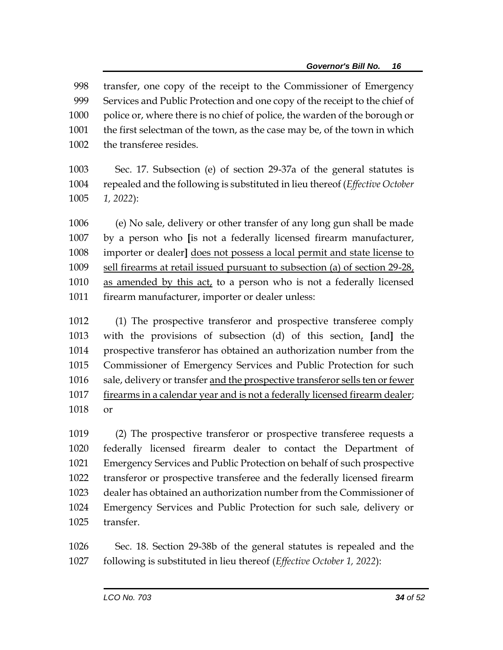transfer, one copy of the receipt to the Commissioner of Emergency Services and Public Protection and one copy of the receipt to the chief of 1000 police or, where there is no chief of police, the warden of the borough or the first selectman of the town, as the case may be, of the town in which the transferee resides. Sec. 17. Subsection (e) of section 29-37a of the general statutes is repealed and the following is substituted in lieu thereof (*Effective October* 

*1, 2022*):

 (e) No sale, delivery or other transfer of any long gun shall be made by a person who **[**is not a federally licensed firearm manufacturer, importer or dealer**]** does not possess a local permit and state license to sell firearms at retail issued pursuant to subsection (a) of section 29-28, as amended by this act, to a person who is not a federally licensed 1011 firearm manufacturer, importer or dealer unless:

 (1) The prospective transferor and prospective transferee comply with the provisions of subsection (d) of this section, **[**and**]** the prospective transferor has obtained an authorization number from the Commissioner of Emergency Services and Public Protection for such 1016 sale, delivery or transfer and the prospective transferor sells ten or fewer firearms in a calendar year and is not a federally licensed firearm dealer; or

 (2) The prospective transferor or prospective transferee requests a federally licensed firearm dealer to contact the Department of Emergency Services and Public Protection on behalf of such prospective transferor or prospective transferee and the federally licensed firearm dealer has obtained an authorization number from the Commissioner of Emergency Services and Public Protection for such sale, delivery or transfer.

 Sec. 18. Section 29-38b of the general statutes is repealed and the following is substituted in lieu thereof (*Effective October 1, 2022*):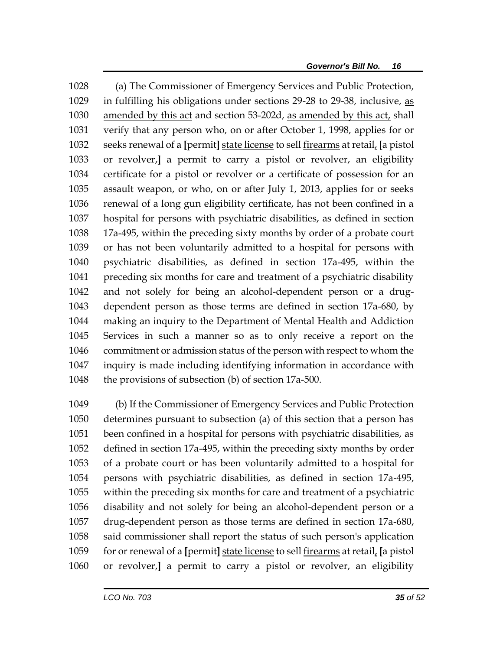(a) The Commissioner of Emergency Services and Public Protection, in fulfilling his obligations under sections 29-28 to 29-38, inclusive, as amended by this act and section 53-202d, as amended by this act, shall verify that any person who, on or after October 1, 1998, applies for or seeks renewal of a **[**permit**]** state license to sell firearms at retail, **[**a pistol or revolver,**]** a permit to carry a pistol or revolver, an eligibility certificate for a pistol or revolver or a certificate of possession for an assault weapon, or who, on or after July 1, 2013, applies for or seeks renewal of a long gun eligibility certificate, has not been confined in a hospital for persons with psychiatric disabilities, as defined in section 17a-495, within the preceding sixty months by order of a probate court or has not been voluntarily admitted to a hospital for persons with psychiatric disabilities, as defined in section 17a-495, within the preceding six months for care and treatment of a psychiatric disability and not solely for being an alcohol-dependent person or a drug- dependent person as those terms are defined in section 17a-680, by making an inquiry to the Department of Mental Health and Addiction Services in such a manner so as to only receive a report on the commitment or admission status of the person with respect to whom the inquiry is made including identifying information in accordance with the provisions of subsection (b) of section 17a-500.

 (b) If the Commissioner of Emergency Services and Public Protection determines pursuant to subsection (a) of this section that a person has been confined in a hospital for persons with psychiatric disabilities, as defined in section 17a-495, within the preceding sixty months by order of a probate court or has been voluntarily admitted to a hospital for persons with psychiatric disabilities, as defined in section 17a-495, within the preceding six months for care and treatment of a psychiatric disability and not solely for being an alcohol-dependent person or a drug-dependent person as those terms are defined in section 17a-680, said commissioner shall report the status of such person's application for or renewal of a **[**permit**]** state license to sell firearms at retail, **[**a pistol or revolver,**]** a permit to carry a pistol or revolver, an eligibility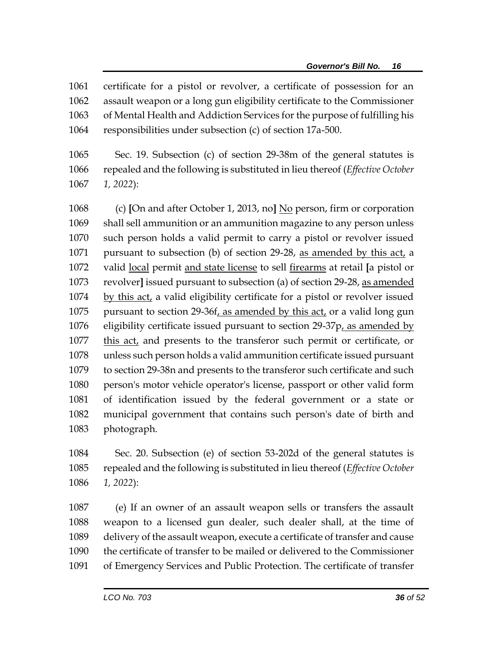certificate for a pistol or revolver, a certificate of possession for an assault weapon or a long gun eligibility certificate to the Commissioner of Mental Health and Addiction Services for the purpose of fulfilling his responsibilities under subsection (c) of section 17a-500.

 Sec. 19. Subsection (c) of section 29-38m of the general statutes is repealed and the following is substituted in lieu thereof (*Effective October 1, 2022*):

 (c) **[**On and after October 1, 2013, no**]** No person, firm or corporation shall sell ammunition or an ammunition magazine to any person unless such person holds a valid permit to carry a pistol or revolver issued pursuant to subsection (b) of section 29-28, as amended by this act, a valid local permit and state license to sell firearms at retail **[**a pistol or revolver**]** issued pursuant to subsection (a) of section 29-28, as amended by this act, a valid eligibility certificate for a pistol or revolver issued pursuant to section 29-36f, as amended by this act, or a valid long gun eligibility certificate issued pursuant to section 29-37p, as amended by this act, and presents to the transferor such permit or certificate, or unless such person holds a valid ammunition certificate issued pursuant to section 29-38n and presents to the transferor such certificate and such person's motor vehicle operator's license, passport or other valid form of identification issued by the federal government or a state or municipal government that contains such person's date of birth and photograph.

 Sec. 20. Subsection (e) of section 53-202d of the general statutes is repealed and the following is substituted in lieu thereof (*Effective October 1, 2022*):

 (e) If an owner of an assault weapon sells or transfers the assault weapon to a licensed gun dealer, such dealer shall, at the time of delivery of the assault weapon, execute a certificate of transfer and cause the certificate of transfer to be mailed or delivered to the Commissioner of Emergency Services and Public Protection. The certificate of transfer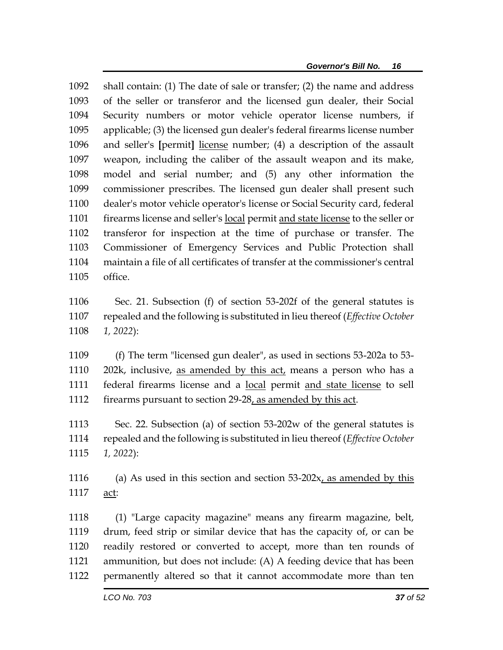shall contain: (1) The date of sale or transfer; (2) the name and address of the seller or transferor and the licensed gun dealer, their Social Security numbers or motor vehicle operator license numbers, if applicable; (3) the licensed gun dealer's federal firearms license number and seller's **[**permit**]** license number; (4) a description of the assault weapon, including the caliber of the assault weapon and its make, model and serial number; and (5) any other information the commissioner prescribes. The licensed gun dealer shall present such dealer's motor vehicle operator's license or Social Security card, federal firearms license and seller's local permit and state license to the seller or transferor for inspection at the time of purchase or transfer. The Commissioner of Emergency Services and Public Protection shall maintain a file of all certificates of transfer at the commissioner's central office.

 Sec. 21. Subsection (f) of section 53-202f of the general statutes is repealed and the following is substituted in lieu thereof (*Effective October 1, 2022*):

 (f) The term "licensed gun dealer", as used in sections 53-202a to 53- 202k, inclusive, as amended by this act, means a person who has a federal firearms license and a local permit and state license to sell 1112 firearms pursuant to section 29-28, as amended by this act.

 Sec. 22. Subsection (a) of section 53-202w of the general statutes is repealed and the following is substituted in lieu thereof (*Effective October 1, 2022*):

 (a) As used in this section and section 53-202x, as amended by this act:

 (1) "Large capacity magazine" means any firearm magazine, belt, drum, feed strip or similar device that has the capacity of, or can be readily restored or converted to accept, more than ten rounds of ammunition, but does not include: (A) A feeding device that has been permanently altered so that it cannot accommodate more than ten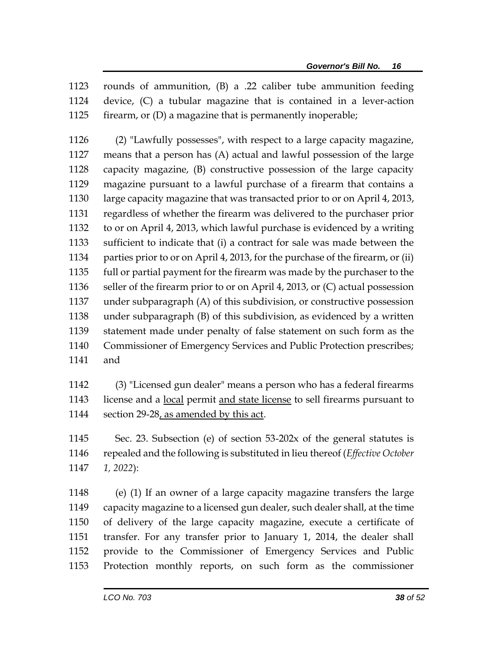rounds of ammunition, (B) a .22 caliber tube ammunition feeding device, (C) a tubular magazine that is contained in a lever-action firearm, or (D) a magazine that is permanently inoperable;

 (2) "Lawfully possesses", with respect to a large capacity magazine, means that a person has (A) actual and lawful possession of the large capacity magazine, (B) constructive possession of the large capacity magazine pursuant to a lawful purchase of a firearm that contains a large capacity magazine that was transacted prior to or on April 4, 2013, regardless of whether the firearm was delivered to the purchaser prior to or on April 4, 2013, which lawful purchase is evidenced by a writing sufficient to indicate that (i) a contract for sale was made between the parties prior to or on April 4, 2013, for the purchase of the firearm, or (ii) full or partial payment for the firearm was made by the purchaser to the seller of the firearm prior to or on April 4, 2013, or (C) actual possession under subparagraph (A) of this subdivision, or constructive possession under subparagraph (B) of this subdivision, as evidenced by a written statement made under penalty of false statement on such form as the Commissioner of Emergency Services and Public Protection prescribes; and

 (3) "Licensed gun dealer" means a person who has a federal firearms license and a local permit and state license to sell firearms pursuant to section 29-28, as amended by this act.

 Sec. 23. Subsection (e) of section 53-202x of the general statutes is repealed and the following is substituted in lieu thereof (*Effective October 1, 2022*):

 (e) (1) If an owner of a large capacity magazine transfers the large capacity magazine to a licensed gun dealer, such dealer shall, at the time of delivery of the large capacity magazine, execute a certificate of transfer. For any transfer prior to January 1, 2014, the dealer shall provide to the Commissioner of Emergency Services and Public Protection monthly reports, on such form as the commissioner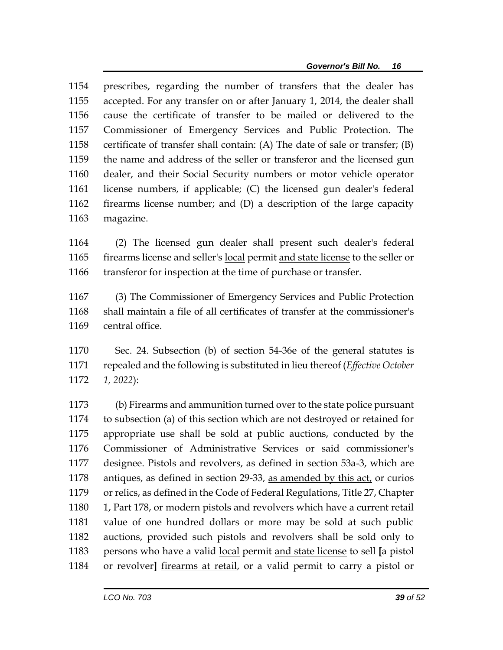prescribes, regarding the number of transfers that the dealer has accepted. For any transfer on or after January 1, 2014, the dealer shall cause the certificate of transfer to be mailed or delivered to the Commissioner of Emergency Services and Public Protection. The certificate of transfer shall contain: (A) The date of sale or transfer; (B) the name and address of the seller or transferor and the licensed gun dealer, and their Social Security numbers or motor vehicle operator license numbers, if applicable; (C) the licensed gun dealer's federal firearms license number; and (D) a description of the large capacity magazine.

 (2) The licensed gun dealer shall present such dealer's federal firearms license and seller's local permit and state license to the seller or transferor for inspection at the time of purchase or transfer.

 (3) The Commissioner of Emergency Services and Public Protection shall maintain a file of all certificates of transfer at the commissioner's central office.

 Sec. 24. Subsection (b) of section 54-36e of the general statutes is repealed and the following is substituted in lieu thereof (*Effective October 1, 2022*):

 (b) Firearms and ammunition turned over to the state police pursuant to subsection (a) of this section which are not destroyed or retained for appropriate use shall be sold at public auctions, conducted by the Commissioner of Administrative Services or said commissioner's designee. Pistols and revolvers, as defined in section 53a-3, which are antiques, as defined in section 29-33, as amended by this act, or curios or relics, as defined in the Code of Federal Regulations, Title 27, Chapter 1, Part 178, or modern pistols and revolvers which have a current retail value of one hundred dollars or more may be sold at such public auctions, provided such pistols and revolvers shall be sold only to persons who have a valid local permit and state license to sell **[**a pistol or revolver**]** firearms at retail, or a valid permit to carry a pistol or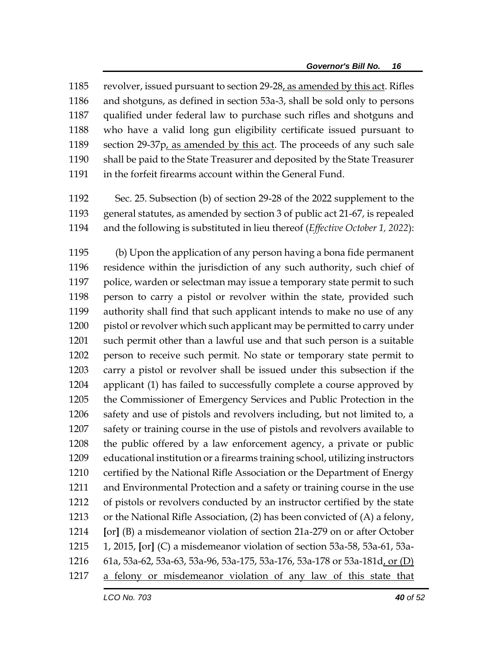revolver, issued pursuant to section 29-28, as amended by this act. Rifles and shotguns, as defined in section 53a-3, shall be sold only to persons qualified under federal law to purchase such rifles and shotguns and who have a valid long gun eligibility certificate issued pursuant to section 29-37p, as amended by this act. The proceeds of any such sale shall be paid to the State Treasurer and deposited by the State Treasurer in the forfeit firearms account within the General Fund.

 Sec. 25. Subsection (b) of section 29-28 of the 2022 supplement to the general statutes, as amended by section 3 of public act 21-67, is repealed and the following is substituted in lieu thereof (*Effective October 1, 2022*):

 (b) Upon the application of any person having a bona fide permanent residence within the jurisdiction of any such authority, such chief of police, warden or selectman may issue a temporary state permit to such person to carry a pistol or revolver within the state, provided such authority shall find that such applicant intends to make no use of any pistol or revolver which such applicant may be permitted to carry under such permit other than a lawful use and that such person is a suitable person to receive such permit. No state or temporary state permit to carry a pistol or revolver shall be issued under this subsection if the applicant (1) has failed to successfully complete a course approved by the Commissioner of Emergency Services and Public Protection in the safety and use of pistols and revolvers including, but not limited to, a safety or training course in the use of pistols and revolvers available to the public offered by a law enforcement agency, a private or public educational institution or a firearms training school, utilizing instructors certified by the National Rifle Association or the Department of Energy and Environmental Protection and a safety or training course in the use of pistols or revolvers conducted by an instructor certified by the state or the National Rifle Association, (2) has been convicted of (A) a felony, **[**or**]** (B) a misdemeanor violation of section 21a-279 on or after October 1, 2015, **[**or**]** (C) a misdemeanor violation of section 53a-58, 53a-61, 53a- 61a, 53a-62, 53a-63, 53a-96, 53a-175, 53a-176, 53a-178 or 53a-181d, or (D) a felony or misdemeanor violation of any law of this state that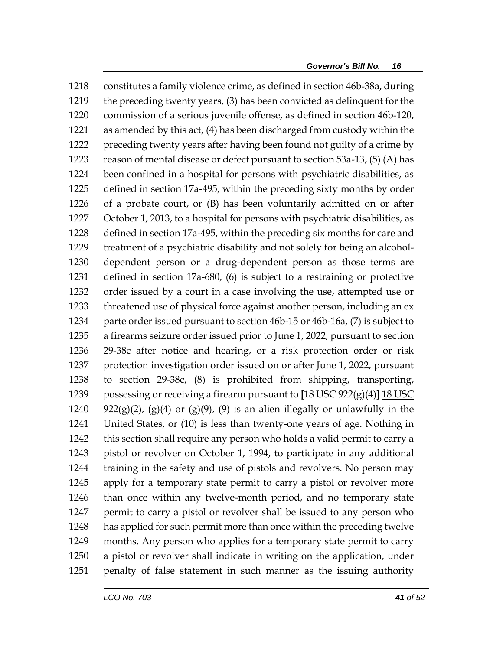constitutes a family violence crime, as defined in section 46b-38a, during the preceding twenty years, (3) has been convicted as delinquent for the commission of a serious juvenile offense, as defined in section 46b-120, 1221 as amended by this act, (4) has been discharged from custody within the preceding twenty years after having been found not guilty of a crime by reason of mental disease or defect pursuant to section 53a-13, (5) (A) has been confined in a hospital for persons with psychiatric disabilities, as defined in section 17a-495, within the preceding sixty months by order of a probate court, or (B) has been voluntarily admitted on or after October 1, 2013, to a hospital for persons with psychiatric disabilities, as defined in section 17a-495, within the preceding six months for care and treatment of a psychiatric disability and not solely for being an alcohol- dependent person or a drug-dependent person as those terms are defined in section 17a-680, (6) is subject to a restraining or protective order issued by a court in a case involving the use, attempted use or threatened use of physical force against another person, including an ex 1234 parte order issued pursuant to section 46b-15 or 46b-16a, (7) is subject to a firearms seizure order issued prior to June 1, 2022, pursuant to section 29-38c after notice and hearing, or a risk protection order or risk protection investigation order issued on or after June 1, 2022, pursuant to section 29-38c, (8) is prohibited from shipping, transporting, possessing or receiving a firearm pursuant to **[**18 USC 922(g)(4)**]** 18 USC  $\frac{922(g)(2)}{(g)(4)}$  or  $(g)(9)$ , (9) is an alien illegally or unlawfully in the United States, or (10) is less than twenty-one years of age. Nothing in this section shall require any person who holds a valid permit to carry a pistol or revolver on October 1, 1994, to participate in any additional training in the safety and use of pistols and revolvers. No person may apply for a temporary state permit to carry a pistol or revolver more than once within any twelve-month period, and no temporary state 1247 permit to carry a pistol or revolver shall be issued to any person who has applied for such permit more than once within the preceding twelve months. Any person who applies for a temporary state permit to carry a pistol or revolver shall indicate in writing on the application, under penalty of false statement in such manner as the issuing authority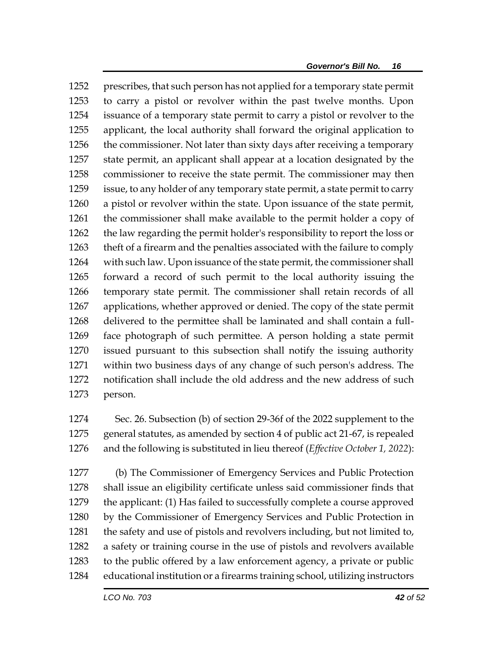prescribes, that such person has not applied for a temporary state permit to carry a pistol or revolver within the past twelve months. Upon issuance of a temporary state permit to carry a pistol or revolver to the applicant, the local authority shall forward the original application to the commissioner. Not later than sixty days after receiving a temporary state permit, an applicant shall appear at a location designated by the commissioner to receive the state permit. The commissioner may then issue, to any holder of any temporary state permit, a state permit to carry a pistol or revolver within the state. Upon issuance of the state permit, the commissioner shall make available to the permit holder a copy of the law regarding the permit holder's responsibility to report the loss or theft of a firearm and the penalties associated with the failure to comply with such law. Upon issuance of the state permit, the commissioner shall forward a record of such permit to the local authority issuing the temporary state permit. The commissioner shall retain records of all applications, whether approved or denied. The copy of the state permit delivered to the permittee shall be laminated and shall contain a full- face photograph of such permittee. A person holding a state permit issued pursuant to this subsection shall notify the issuing authority within two business days of any change of such person's address. The notification shall include the old address and the new address of such person.

 Sec. 26. Subsection (b) of section 29-36f of the 2022 supplement to the general statutes, as amended by section 4 of public act 21-67, is repealed and the following is substituted in lieu thereof (*Effective October 1, 2022*):

 (b) The Commissioner of Emergency Services and Public Protection shall issue an eligibility certificate unless said commissioner finds that the applicant: (1) Has failed to successfully complete a course approved by the Commissioner of Emergency Services and Public Protection in the safety and use of pistols and revolvers including, but not limited to, a safety or training course in the use of pistols and revolvers available to the public offered by a law enforcement agency, a private or public educational institution or a firearms training school, utilizing instructors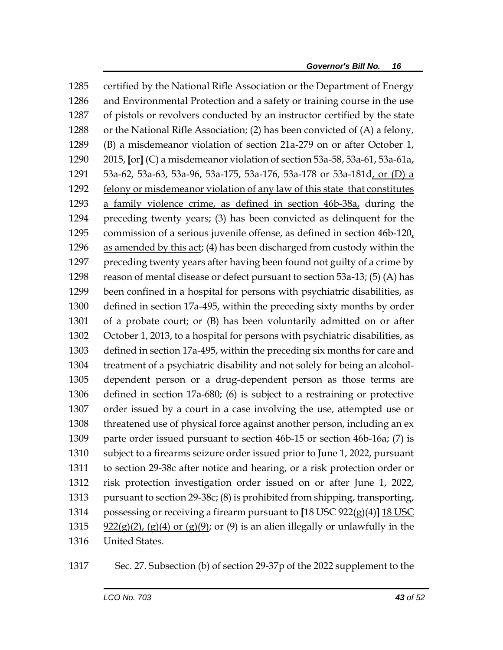certified by the National Rifle Association or the Department of Energy and Environmental Protection and a safety or training course in the use of pistols or revolvers conducted by an instructor certified by the state or the National Rifle Association; (2) has been convicted of (A) a felony, (B) a misdemeanor violation of section 21a-279 on or after October 1, 2015, **[**or**]** (C) a misdemeanor violation of section 53a-58, 53a-61, 53a-61a, 53a-62, 53a-63, 53a-96, 53a-175, 53a-176, 53a-178 or 53a-181d, or (D) a felony or misdemeanor violation of any law of this state that constitutes a family violence crime, as defined in section 46b-38a, during the preceding twenty years; (3) has been convicted as delinquent for the commission of a serious juvenile offense, as defined in section 46b-120, 1296 as amended by this act; (4) has been discharged from custody within the preceding twenty years after having been found not guilty of a crime by reason of mental disease or defect pursuant to section 53a-13; (5) (A) has been confined in a hospital for persons with psychiatric disabilities, as defined in section 17a-495, within the preceding sixty months by order of a probate court; or (B) has been voluntarily admitted on or after October 1, 2013, to a hospital for persons with psychiatric disabilities, as defined in section 17a-495, within the preceding six months for care and treatment of a psychiatric disability and not solely for being an alcohol- dependent person or a drug-dependent person as those terms are defined in section 17a-680; (6) is subject to a restraining or protective order issued by a court in a case involving the use, attempted use or threatened use of physical force against another person, including an ex parte order issued pursuant to section 46b-15 or section 46b-16a; (7) is subject to a firearms seizure order issued prior to June 1, 2022, pursuant to section 29-38c after notice and hearing, or a risk protection order or risk protection investigation order issued on or after June 1, 2022, pursuant to section 29-38c; (8) is prohibited from shipping, transporting, possessing or receiving a firearm pursuant to **[**18 USC 922(g)(4)**]** 18 USC 1315 922(g)(2), (g)(4) or (g)(9); or (9) is an alien illegally or unlawfully in the United States.

Sec. 27. Subsection (b) of section 29-37p of the 2022 supplement to the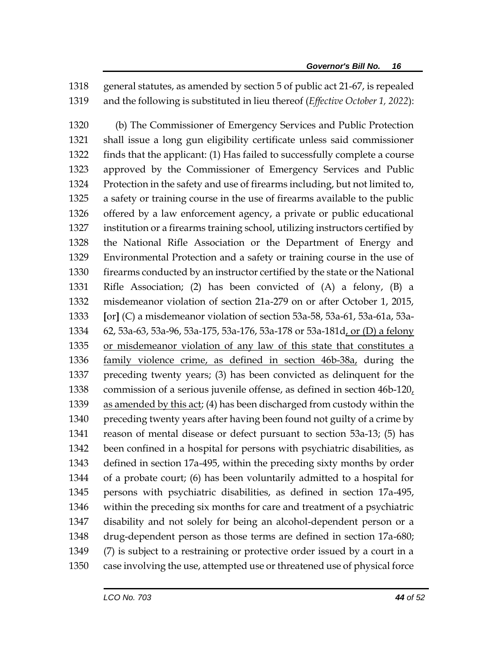general statutes, as amended by section 5 of public act 21-67, is repealed and the following is substituted in lieu thereof (*Effective October 1, 2022*):

 (b) The Commissioner of Emergency Services and Public Protection shall issue a long gun eligibility certificate unless said commissioner finds that the applicant: (1) Has failed to successfully complete a course approved by the Commissioner of Emergency Services and Public Protection in the safety and use of firearms including, but not limited to, a safety or training course in the use of firearms available to the public offered by a law enforcement agency, a private or public educational institution or a firearms training school, utilizing instructors certified by the National Rifle Association or the Department of Energy and Environmental Protection and a safety or training course in the use of firearms conducted by an instructor certified by the state or the National Rifle Association; (2) has been convicted of (A) a felony, (B) a misdemeanor violation of section 21a-279 on or after October 1, 2015, **[**or**]** (C) a misdemeanor violation of section 53a-58, 53a-61, 53a-61a, 53a- 62, 53a-63, 53a-96, 53a-175, 53a-176, 53a-178 or 53a-181d, or (D) a felony or misdemeanor violation of any law of this state that constitutes a family violence crime, as defined in section 46b-38a, during the preceding twenty years; (3) has been convicted as delinquent for the commission of a serious juvenile offense, as defined in section 46b-120, as amended by this act; (4) has been discharged from custody within the preceding twenty years after having been found not guilty of a crime by reason of mental disease or defect pursuant to section 53a-13; (5) has been confined in a hospital for persons with psychiatric disabilities, as defined in section 17a-495, within the preceding sixty months by order of a probate court; (6) has been voluntarily admitted to a hospital for persons with psychiatric disabilities, as defined in section 17a-495, within the preceding six months for care and treatment of a psychiatric disability and not solely for being an alcohol-dependent person or a drug-dependent person as those terms are defined in section 17a-680; (7) is subject to a restraining or protective order issued by a court in a case involving the use, attempted use or threatened use of physical force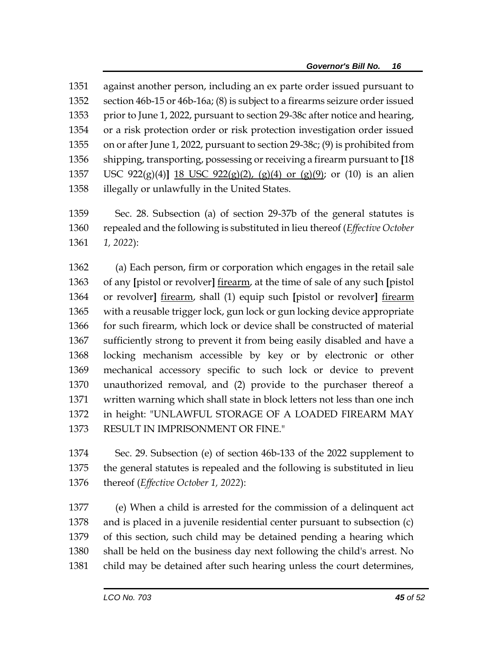against another person, including an ex parte order issued pursuant to section 46b-15 or 46b-16a; (8) is subject to a firearms seizure order issued 1353 prior to June 1, 2022, pursuant to section 29-38c after notice and hearing, or a risk protection order or risk protection investigation order issued on or after June 1, 2022, pursuant to section 29-38c; (9) is prohibited from shipping, transporting, possessing or receiving a firearm pursuant to **[**18 USC 922(g)(4)**]** 18 USC 922(g)(2), (g)(4) or (g)(9); or (10) is an alien illegally or unlawfully in the United States.

 Sec. 28. Subsection (a) of section 29-37b of the general statutes is repealed and the following is substituted in lieu thereof (*Effective October 1, 2022*):

 (a) Each person, firm or corporation which engages in the retail sale of any **[**pistol or revolver**]** firearm, at the time of sale of any such **[**pistol or revolver**]** firearm, shall (1) equip such **[**pistol or revolver**]** firearm with a reusable trigger lock, gun lock or gun locking device appropriate for such firearm, which lock or device shall be constructed of material sufficiently strong to prevent it from being easily disabled and have a locking mechanism accessible by key or by electronic or other mechanical accessory specific to such lock or device to prevent unauthorized removal, and (2) provide to the purchaser thereof a written warning which shall state in block letters not less than one inch in height: "UNLAWFUL STORAGE OF A LOADED FIREARM MAY RESULT IN IMPRISONMENT OR FINE."

 Sec. 29. Subsection (e) of section 46b-133 of the 2022 supplement to the general statutes is repealed and the following is substituted in lieu thereof (*Effective October 1, 2022*):

 (e) When a child is arrested for the commission of a delinquent act and is placed in a juvenile residential center pursuant to subsection (c) of this section, such child may be detained pending a hearing which shall be held on the business day next following the child's arrest. No child may be detained after such hearing unless the court determines,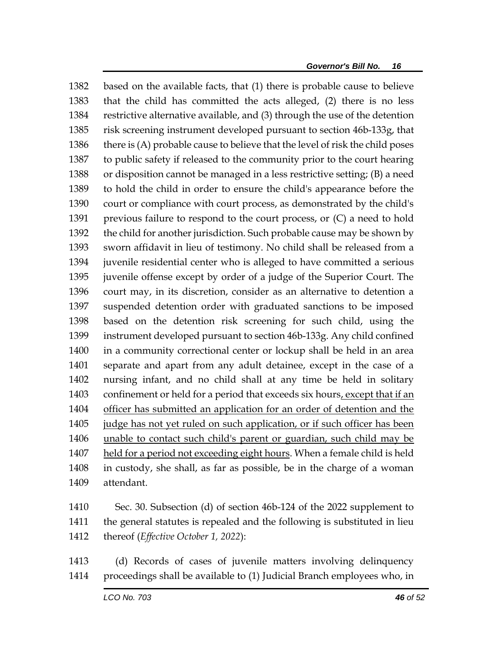based on the available facts, that (1) there is probable cause to believe that the child has committed the acts alleged, (2) there is no less restrictive alternative available, and (3) through the use of the detention risk screening instrument developed pursuant to section 46b-133g, that 1386 there is (A) probable cause to believe that the level of risk the child poses to public safety if released to the community prior to the court hearing or disposition cannot be managed in a less restrictive setting; (B) a need to hold the child in order to ensure the child's appearance before the court or compliance with court process, as demonstrated by the child's previous failure to respond to the court process, or (C) a need to hold the child for another jurisdiction. Such probable cause may be shown by sworn affidavit in lieu of testimony. No child shall be released from a juvenile residential center who is alleged to have committed a serious juvenile offense except by order of a judge of the Superior Court. The court may, in its discretion, consider as an alternative to detention a suspended detention order with graduated sanctions to be imposed based on the detention risk screening for such child, using the instrument developed pursuant to section 46b-133g. Any child confined in a community correctional center or lockup shall be held in an area separate and apart from any adult detainee, except in the case of a nursing infant, and no child shall at any time be held in solitary confinement or held for a period that exceeds six hours, except that if an officer has submitted an application for an order of detention and the judge has not yet ruled on such application, or if such officer has been unable to contact such child's parent or guardian, such child may be held for a period not exceeding eight hours. When a female child is held in custody, she shall, as far as possible, be in the charge of a woman attendant.

 Sec. 30. Subsection (d) of section 46b-124 of the 2022 supplement to the general statutes is repealed and the following is substituted in lieu thereof (*Effective October 1, 2022*):

 (d) Records of cases of juvenile matters involving delinquency proceedings shall be available to (1) Judicial Branch employees who, in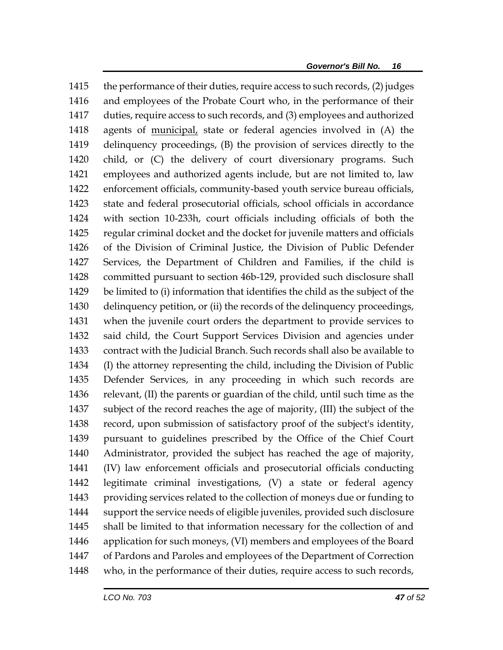the performance of their duties, require access to such records, (2) judges and employees of the Probate Court who, in the performance of their duties, require access to such records, and (3) employees and authorized agents of municipal, state or federal agencies involved in (A) the delinquency proceedings, (B) the provision of services directly to the child, or (C) the delivery of court diversionary programs. Such employees and authorized agents include, but are not limited to, law enforcement officials, community-based youth service bureau officials, state and federal prosecutorial officials, school officials in accordance with section 10-233h, court officials including officials of both the regular criminal docket and the docket for juvenile matters and officials of the Division of Criminal Justice, the Division of Public Defender Services, the Department of Children and Families, if the child is committed pursuant to section 46b-129, provided such disclosure shall be limited to (i) information that identifies the child as the subject of the delinquency petition, or (ii) the records of the delinquency proceedings, when the juvenile court orders the department to provide services to said child, the Court Support Services Division and agencies under contract with the Judicial Branch. Such records shall also be available to (I) the attorney representing the child, including the Division of Public Defender Services, in any proceeding in which such records are relevant, (II) the parents or guardian of the child, until such time as the subject of the record reaches the age of majority, (III) the subject of the record, upon submission of satisfactory proof of the subject's identity, pursuant to guidelines prescribed by the Office of the Chief Court Administrator, provided the subject has reached the age of majority, (IV) law enforcement officials and prosecutorial officials conducting legitimate criminal investigations, (V) a state or federal agency providing services related to the collection of moneys due or funding to support the service needs of eligible juveniles, provided such disclosure shall be limited to that information necessary for the collection of and application for such moneys, (VI) members and employees of the Board of Pardons and Paroles and employees of the Department of Correction who, in the performance of their duties, require access to such records,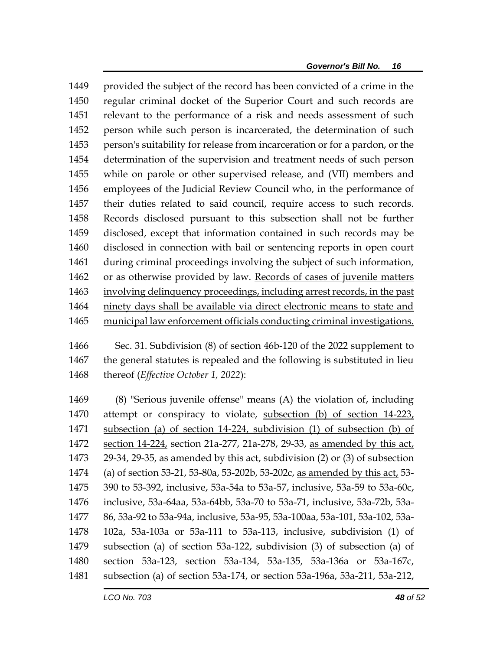provided the subject of the record has been convicted of a crime in the regular criminal docket of the Superior Court and such records are relevant to the performance of a risk and needs assessment of such person while such person is incarcerated, the determination of such person's suitability for release from incarceration or for a pardon, or the determination of the supervision and treatment needs of such person while on parole or other supervised release, and (VII) members and employees of the Judicial Review Council who, in the performance of their duties related to said council, require access to such records. Records disclosed pursuant to this subsection shall not be further disclosed, except that information contained in such records may be disclosed in connection with bail or sentencing reports in open court during criminal proceedings involving the subject of such information, or as otherwise provided by law. Records of cases of juvenile matters involving delinquency proceedings, including arrest records, in the past ninety days shall be available via direct electronic means to state and municipal law enforcement officials conducting criminal investigations.

 Sec. 31. Subdivision (8) of section 46b-120 of the 2022 supplement to the general statutes is repealed and the following is substituted in lieu thereof (*Effective October 1, 2022*):

 (8) "Serious juvenile offense" means (A) the violation of, including 1470 attempt or conspiracy to violate, subsection (b) of section 14-223, subsection (a) of section 14-224, subdivision (1) of subsection (b) of section 14-224, section 21a-277, 21a-278, 29-33, as amended by this act, 29-34, 29-35, as amended by this act, subdivision (2) or (3) of subsection (a) of section 53-21, 53-80a, 53-202b, 53-202c, as amended by this act, 53- 390 to 53-392, inclusive, 53a-54a to 53a-57, inclusive, 53a-59 to 53a-60c, inclusive, 53a-64aa, 53a-64bb, 53a-70 to 53a-71, inclusive, 53a-72b, 53a- 86, 53a-92 to 53a-94a, inclusive, 53a-95, 53a-100aa, 53a-101, 53a-102, 53a- 102a, 53a-103a or 53a-111 to 53a-113, inclusive, subdivision (1) of subsection (a) of section 53a-122, subdivision (3) of subsection (a) of section 53a-123, section 53a-134, 53a-135, 53a-136a or 53a-167c, subsection (a) of section 53a-174, or section 53a-196a, 53a-211, 53a-212,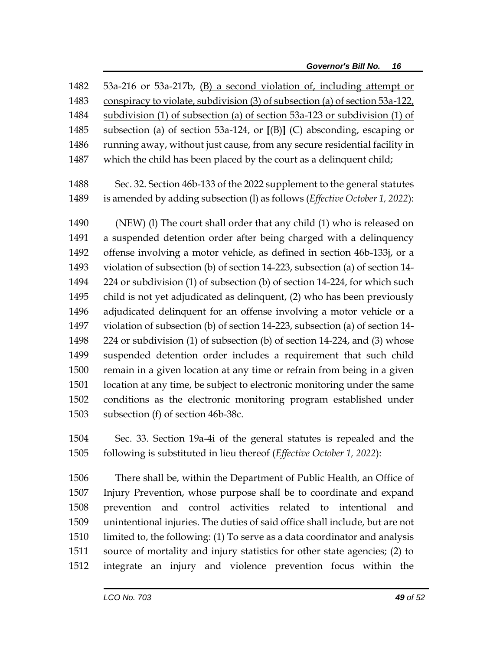| 1482 | 53a-216 or 53a-217b, (B) a second violation of, including attempt or         |
|------|------------------------------------------------------------------------------|
| 1483 | conspiracy to violate, subdivision (3) of subsection (a) of section 53a-122, |
| 1484 | subdivision (1) of subsection (a) of section 53a-123 or subdivision (1) of   |
| 1485 | subsection (a) of section $53a-124$ , or $[(B)]$ (C) absconding, escaping or |
| 1486 | running away, without just cause, from any secure residential facility in    |
| 1487 | which the child has been placed by the court as a delinquent child;          |
| 1488 | Sec. 32. Section 46b-133 of the 2022 supplement to the general statutes      |
| 1489 | is amended by adding subsection (l) as follows (Effective October 1, 2022):  |
| 1490 | (NEW) (I) The court shall order that any child (1) who is released on        |
| 1491 | a suspended detention order after being charged with a delinquency           |
| 1492 | offense involving a motor vehicle, as defined in section 46b-133j, or a      |
| 1493 | violation of subsection (b) of section 14-223, subsection (a) of section 14- |
| 1494 | 224 or subdivision (1) of subsection (b) of section 14-224, for which such   |
| 1495 | child is not yet adjudicated as delinquent, (2) who has been previously      |
| 1496 | adjudicated delinquent for an offense involving a motor vehicle or a         |
| 1497 | violation of subsection (b) of section 14-223, subsection (a) of section 14- |
| 1498 | 224 or subdivision (1) of subsection (b) of section 14-224, and (3) whose    |
| 1499 | suspended detention order includes a requirement that such child             |
| 1500 | remain in a given location at any time or refrain from being in a given      |
| 1501 | location at any time, be subject to electronic monitoring under the same     |
| 1502 | conditions as the electronic monitoring program established under            |
| 1503 | subsection (f) of section 46b-38c.                                           |
| 1504 | Sec. 33. Section 19a-4i of the general statutes is repealed and the          |

following is substituted in lieu thereof (*Effective October 1, 2022*):

 There shall be, within the Department of Public Health, an Office of Injury Prevention, whose purpose shall be to coordinate and expand prevention and control activities related to intentional and unintentional injuries. The duties of said office shall include, but are not limited to, the following: (1) To serve as a data coordinator and analysis source of mortality and injury statistics for other state agencies; (2) to integrate an injury and violence prevention focus within the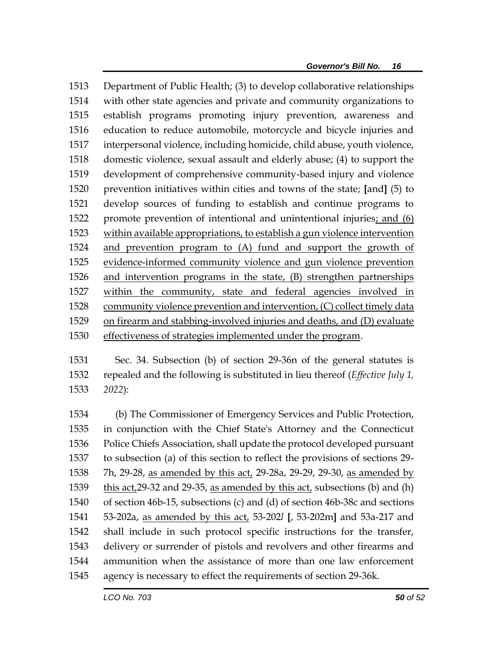Department of Public Health; (3) to develop collaborative relationships with other state agencies and private and community organizations to establish programs promoting injury prevention, awareness and education to reduce automobile, motorcycle and bicycle injuries and interpersonal violence, including homicide, child abuse, youth violence, domestic violence, sexual assault and elderly abuse; (4) to support the development of comprehensive community-based injury and violence prevention initiatives within cities and towns of the state; **[**and**]** (5) to develop sources of funding to establish and continue programs to promote prevention of intentional and unintentional injuries; and (6) within available appropriations, to establish a gun violence intervention and prevention program to (A) fund and support the growth of evidence-informed community violence and gun violence prevention and intervention programs in the state, (B) strengthen partnerships within the community, state and federal agencies involved in community violence prevention and intervention, (C) collect timely data on firearm and stabbing-involved injuries and deaths, and (D) evaluate effectiveness of strategies implemented under the program.

 Sec. 34. Subsection (b) of section 29-36n of the general statutes is repealed and the following is substituted in lieu thereof (*Effective July 1, 2022*):

 (b) The Commissioner of Emergency Services and Public Protection, in conjunction with the Chief State's Attorney and the Connecticut Police Chiefs Association, shall update the protocol developed pursuant to subsection (a) of this section to reflect the provisions of sections 29- 7h, 29-28, as amended by this act, 29-28a, 29-29, 29-30, as amended by this act,29-32 and 29-35, as amended by this act, subsections (b) and (h) of section 46b-15, subsections (c) and (d) of section 46b-38c and sections 53-202a, as amended by this act, 53-202*l* **[**, 53-202m**]** and 53a-217 and shall include in such protocol specific instructions for the transfer, delivery or surrender of pistols and revolvers and other firearms and ammunition when the assistance of more than one law enforcement agency is necessary to effect the requirements of section 29-36k.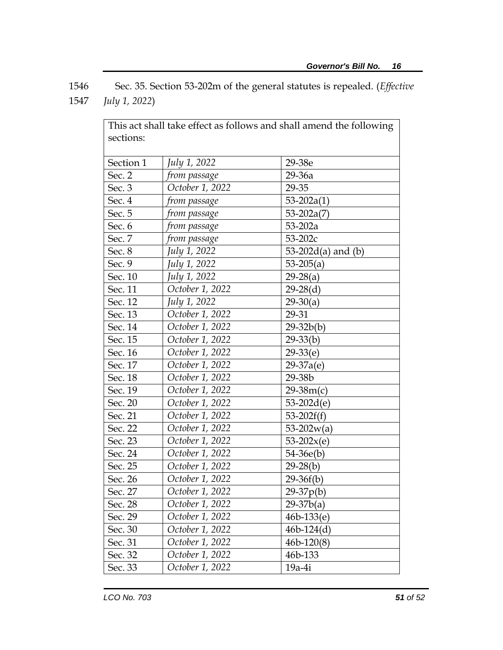1546 Sec. 35. Section 53-202m of the general statutes is repealed. (*Effective*  1547 *July 1, 2022*)

| This act shall take effect as follows and shall amend the following |                 |                         |
|---------------------------------------------------------------------|-----------------|-------------------------|
| sections:                                                           |                 |                         |
|                                                                     |                 |                         |
| Section 1                                                           | July 1, 2022    | 29-38e                  |
| Sec. 2                                                              | from passage    | 29-36a                  |
| Sec. 3                                                              | October 1, 2022 | 29-35                   |
| Sec. 4                                                              | from passage    | $53 - 202a(1)$          |
| Sec. 5                                                              | from passage    | $53 - 202a(7)$          |
| Sec. 6                                                              | from passage    | $53 - 202a$             |
| Sec. 7                                                              | from passage    | $53 - 202c$             |
| Sec. 8                                                              | July 1, 2022    | 53-202 $d(a)$ and $(b)$ |
| Sec. 9                                                              | July 1, 2022    | $53-205(a)$             |
| Sec. 10                                                             | July 1, 2022    | $29-28(a)$              |
| Sec. 11                                                             | October 1, 2022 | $29-28(d)$              |
| Sec. 12                                                             | July 1, 2022    | $29-30(a)$              |
| Sec. 13                                                             | October 1, 2022 | 29-31                   |
| Sec. 14                                                             | October 1, 2022 | $29 - 32b(b)$           |
| Sec. 15                                                             | October 1, 2022 | $29-33(b)$              |
| Sec. 16                                                             | October 1, 2022 | $29-33(e)$              |
| Sec. 17                                                             | October 1, 2022 | $29-37a(e)$             |
| Sec. 18                                                             | October 1, 2022 | 29-38b                  |
| Sec. 19                                                             | October 1, 2022 | $29-38m(c)$             |
| Sec. 20                                                             | October 1, 2022 | $53-202d(e)$            |
| Sec. 21                                                             | October 1, 2022 | $53-202f(f)$            |
| Sec. 22                                                             | October 1, 2022 | $53-202w(a)$            |
| Sec. 23                                                             | October 1, 2022 | $53-202x(e)$            |
| Sec. 24                                                             | October 1, 2022 | $54-36e(b)$             |
| Sec. 25                                                             | October 1, 2022 | $29-28(b)$              |
| Sec. 26                                                             | October 1, 2022 | $29-36f(b)$             |
| Sec. 27                                                             | October 1, 2022 | $29-37p(b)$             |
| Sec. 28                                                             | October 1, 2022 | $29-37b(a)$             |
| Sec. 29                                                             | October 1, 2022 | $46b-133(e)$            |
| Sec. 30                                                             | October 1, 2022 | $46b-124(d)$            |
| Sec. 31                                                             | October 1, 2022 | $46b-120(8)$            |
| Sec. 32                                                             | October 1, 2022 | 46b-133                 |
| Sec. 33                                                             | October 1, 2022 | $19a-4i$                |